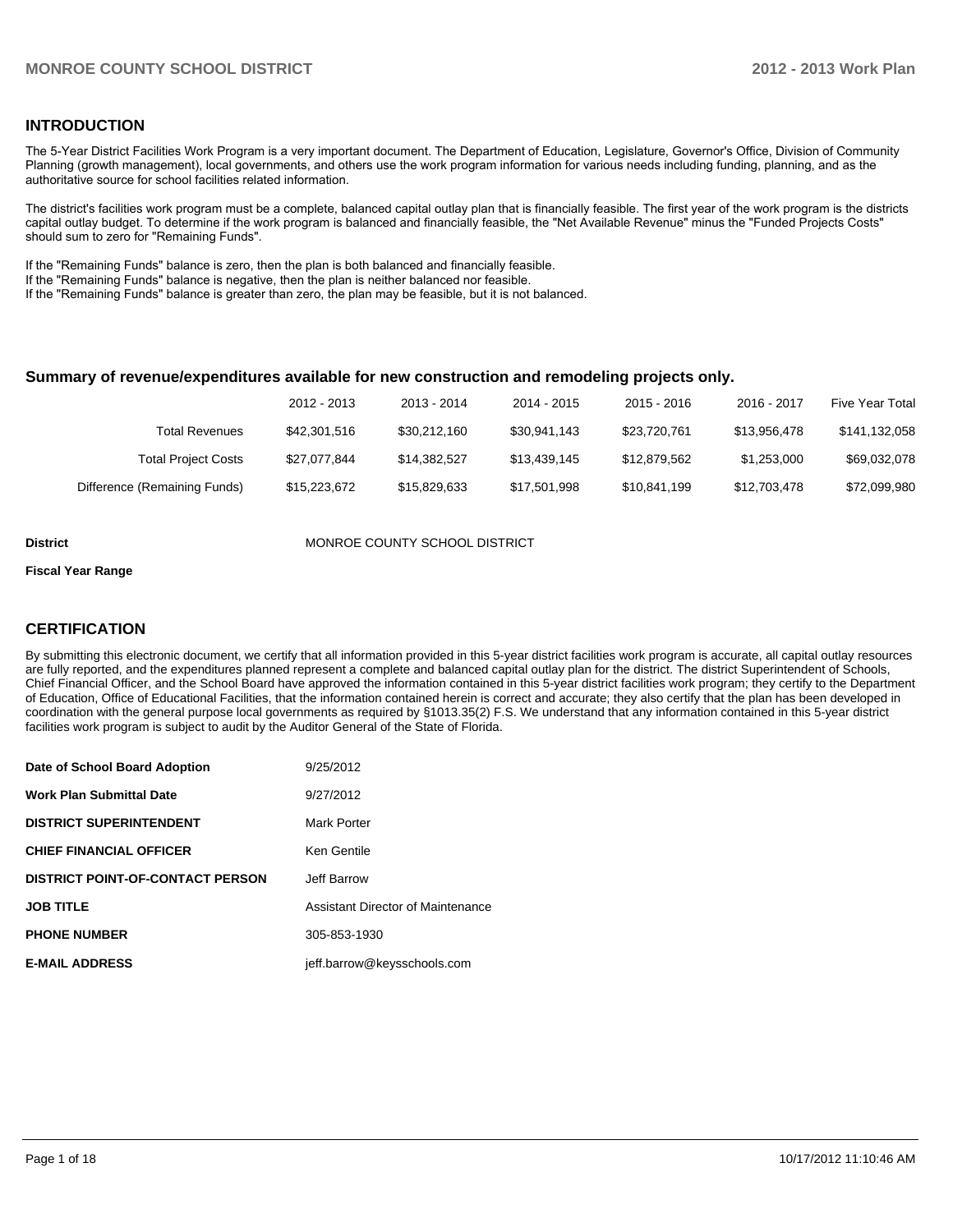### **INTRODUCTION**

The 5-Year District Facilities Work Program is a very important document. The Department of Education, Legislature, Governor's Office, Division of Community Planning (growth management), local governments, and others use the work program information for various needs including funding, planning, and as the authoritative source for school facilities related information.

The district's facilities work program must be a complete, balanced capital outlay plan that is financially feasible. The first year of the work program is the districts capital outlay budget. To determine if the work program is balanced and financially feasible, the "Net Available Revenue" minus the "Funded Projects Costs" should sum to zero for "Remaining Funds".

If the "Remaining Funds" balance is zero, then the plan is both balanced and financially feasible.

If the "Remaining Funds" balance is negative, then the plan is neither balanced nor feasible.

If the "Remaining Funds" balance is greater than zero, the plan may be feasible, but it is not balanced.

#### **Summary of revenue/expenditures available for new construction and remodeling projects only.**

|                              | 2012 - 2013  | 2013 - 2014  | 2014 - 2015  | $2015 - 2016$ | 2016 - 2017  | <b>Five Year Total</b> |
|------------------------------|--------------|--------------|--------------|---------------|--------------|------------------------|
| Total Revenues               | \$42,301,516 | \$30.212.160 | \$30.941.143 | \$23.720.761  | \$13.956.478 | \$141,132,058          |
| <b>Total Project Costs</b>   | \$27.077.844 | \$14.382.527 | \$13.439.145 | \$12,879,562  | \$1.253.000  | \$69,032,078           |
| Difference (Remaining Funds) | \$15,223,672 | \$15,829,633 | \$17,501,998 | \$10,841,199  | \$12,703,478 | \$72,099,980           |

**District MONROE COUNTY SCHOOL DISTRICT** 

#### **Fiscal Year Range**

### **CERTIFICATION**

By submitting this electronic document, we certify that all information provided in this 5-year district facilities work program is accurate, all capital outlay resources are fully reported, and the expenditures planned represent a complete and balanced capital outlay plan for the district. The district Superintendent of Schools, Chief Financial Officer, and the School Board have approved the information contained in this 5-year district facilities work program; they certify to the Department of Education, Office of Educational Facilities, that the information contained herein is correct and accurate; they also certify that the plan has been developed in coordination with the general purpose local governments as required by §1013.35(2) F.S. We understand that any information contained in this 5-year district facilities work program is subject to audit by the Auditor General of the State of Florida.

| Date of School Board Adoption           | 9/25/2012                         |
|-----------------------------------------|-----------------------------------|
| <b>Work Plan Submittal Date</b>         | 9/27/2012                         |
| <b>DISTRICT SUPERINTENDENT</b>          | Mark Porter                       |
| <b>CHIEF FINANCIAL OFFICER</b>          | Ken Gentile                       |
| <b>DISTRICT POINT-OF-CONTACT PERSON</b> | Jeff Barrow                       |
| <b>JOB TITLE</b>                        | Assistant Director of Maintenance |
| <b>PHONE NUMBER</b>                     | 305-853-1930                      |
| <b>E-MAIL ADDRESS</b>                   | jeff.barrow@keysschools.com       |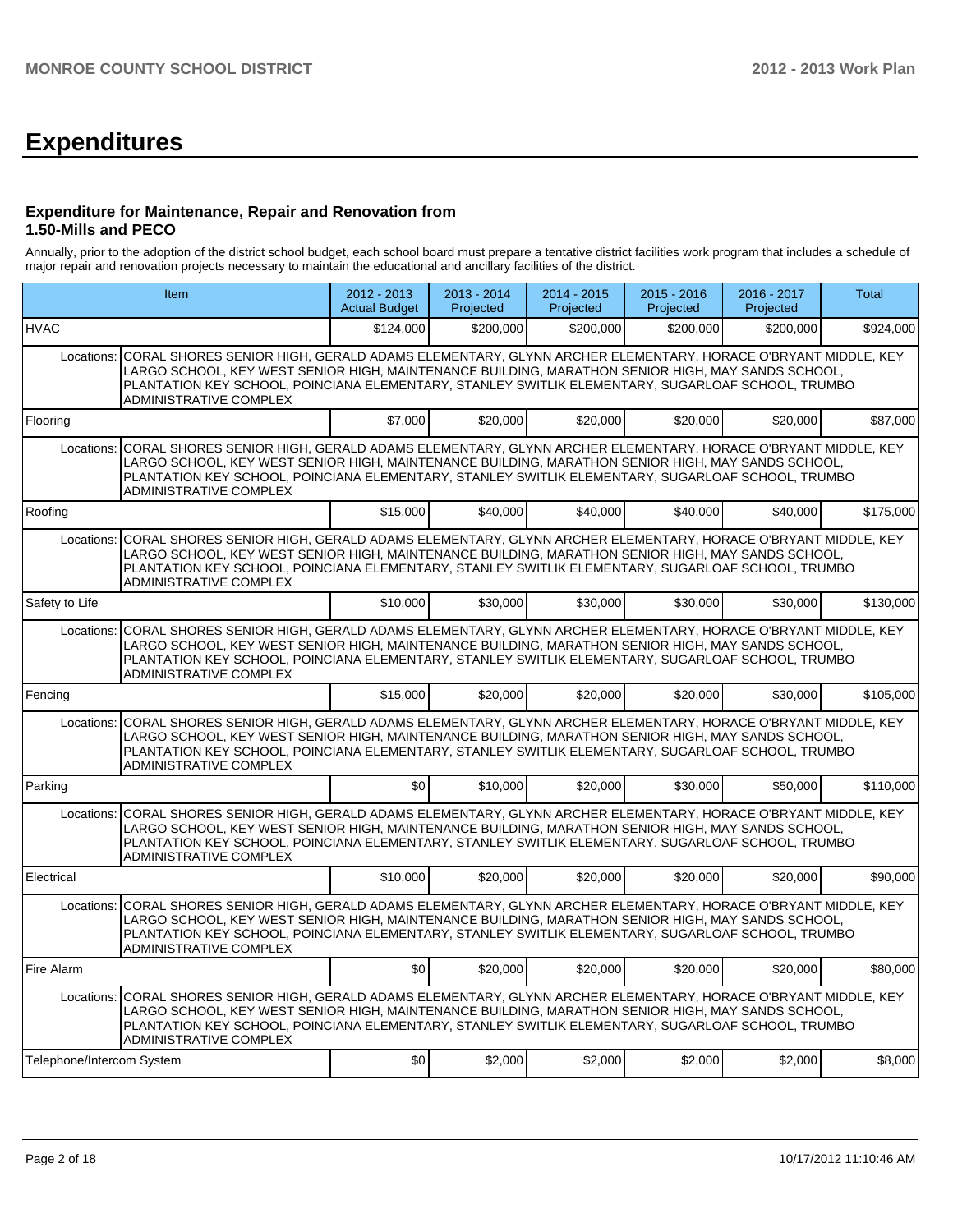# **Expenditures**

### **Expenditure for Maintenance, Repair and Renovation from 1.50-Mills and PECO**

Annually, prior to the adoption of the district school budget, each school board must prepare a tentative district facilities work program that includes a schedule of major repair and renovation projects necessary to maintain the educational and ancillary facilities of the district.

|                           | Item                                                                                                                                                                                                                                                                                                                                                   |           | $2013 - 2014$<br>Projected | $2014 - 2015$<br>Projected | $2015 - 2016$<br>Projected | $2016 - 2017$<br>Projected | <b>Total</b> |
|---------------------------|--------------------------------------------------------------------------------------------------------------------------------------------------------------------------------------------------------------------------------------------------------------------------------------------------------------------------------------------------------|-----------|----------------------------|----------------------------|----------------------------|----------------------------|--------------|
| <b>HVAC</b>               |                                                                                                                                                                                                                                                                                                                                                        | \$124.000 | \$200,000                  | \$200.000                  | \$200.000                  | \$200.000                  | \$924,000    |
| Locations:                | CORAL SHORES SENIOR HIGH, GERALD ADAMS ELEMENTARY, GLYNN ARCHER ELEMENTARY, HORACE O'BRYANT MIDDLE, KEY<br>LARGO SCHOOL, KEY WEST SENIOR HIGH, MAINTENANCE BUILDING, MARATHON SENIOR HIGH, MAY SANDS SCHOOL,<br>PLANTATION KEY SCHOOL, POINCIANA ELEMENTARY, STANLEY SWITLIK ELEMENTARY, SUGARLOAF SCHOOL, TRUMBO<br>ADMINISTRATIVE COMPLEX            |           |                            |                            |                            |                            |              |
| Flooring                  |                                                                                                                                                                                                                                                                                                                                                        | \$7,000   | \$20,000                   | \$20,000                   | \$20,000                   | \$20.000                   | \$87,000     |
| Locations:                | CORAL SHORES SENIOR HIGH, GERALD ADAMS ELEMENTARY, GLYNN ARCHER ELEMENTARY, HORACE O'BRYANT MIDDLE, KEY<br>LARGO SCHOOL, KEY WEST SENIOR HIGH, MAINTENANCE BUILDING, MARATHON SENIOR HIGH, MAY SANDS SCHOOL,<br>PLANTATION KEY SCHOOL, POINCIANA ELEMENTARY, STANLEY SWITLIK ELEMENTARY, SUGARLOAF SCHOOL, TRUMBO<br>ADMINISTRATIVE COMPLEX            |           |                            |                            |                            |                            |              |
| Roofing                   |                                                                                                                                                                                                                                                                                                                                                        | \$15,000  | \$40,000                   | \$40,000                   | \$40,000                   | \$40,000                   | \$175,000    |
|                           | Locations: CORAL SHORES SENIOR HIGH, GERALD ADAMS ELEMENTARY, GLYNN ARCHER ELEMENTARY, HORACE O'BRYANT MIDDLE, KEY<br>LARGO SCHOOL, KEY WEST SENIOR HIGH, MAINTENANCE BUILDING, MARATHON SENIOR HIGH, MAY SANDS SCHOOL,<br>PLANTATION KEY SCHOOL, POINCIANA ELEMENTARY, STANLEY SWITLIK ELEMENTARY, SUGARLOAF SCHOOL, TRUMBO<br>ADMINISTRATIVE COMPLEX |           |                            |                            |                            |                            |              |
| Safety to Life            |                                                                                                                                                                                                                                                                                                                                                        | \$10,000  | \$30,000                   | \$30,000                   | \$30,000                   | \$30,000                   | \$130,000    |
| Locations:                | CORAL SHORES SENIOR HIGH, GERALD ADAMS ELEMENTARY, GLYNN ARCHER ELEMENTARY, HORACE O'BRYANT MIDDLE, KEY<br>LARGO SCHOOL. KEY WEST SENIOR HIGH. MAINTENANCE BUILDING. MARATHON SENIOR HIGH. MAY SANDS SCHOOL.<br>PLANTATION KEY SCHOOL, POINCIANA ELEMENTARY, STANLEY SWITLIK ELEMENTARY, SUGARLOAF SCHOOL, TRUMBO<br>ADMINISTRATIVE COMPLEX            |           |                            |                            |                            |                            |              |
| Fencing                   |                                                                                                                                                                                                                                                                                                                                                        | \$15,000  | \$20,000                   | \$20,000                   | \$20,000                   | \$30,000                   | \$105,000    |
|                           | Locations: CORAL SHORES SENIOR HIGH, GERALD ADAMS ELEMENTARY, GLYNN ARCHER ELEMENTARY, HORACE O'BRYANT MIDDLE, KEY<br>LARGO SCHOOL, KEY WEST SENIOR HIGH, MAINTENANCE BUILDING, MARATHON SENIOR HIGH, MAY SANDS SCHOOL,<br>PLANTATION KEY SCHOOL, POINCIANA ELEMENTARY, STANLEY SWITLIK ELEMENTARY, SUGARLOAF SCHOOL, TRUMBO<br>ADMINISTRATIVE COMPLEX |           |                            |                            |                            |                            |              |
| Parking                   |                                                                                                                                                                                                                                                                                                                                                        | \$0       | \$10,000                   | \$20,000                   | \$30,000                   | \$50,000                   | \$110,000    |
|                           | Locations: CORAL SHORES SENIOR HIGH, GERALD ADAMS ELEMENTARY, GLYNN ARCHER ELEMENTARY, HORACE O'BRYANT MIDDLE, KEY<br>LARGO SCHOOL. KEY WEST SENIOR HIGH. MAINTENANCE BUILDING. MARATHON SENIOR HIGH. MAY SANDS SCHOOL.<br>PLANTATION KEY SCHOOL, POINCIANA ELEMENTARY, STANLEY SWITLIK ELEMENTARY, SUGARLOAF SCHOOL, TRUMBO<br>ADMINISTRATIVE COMPLEX |           |                            |                            |                            |                            |              |
| Electrical                |                                                                                                                                                                                                                                                                                                                                                        | \$10,000  | \$20,000                   | \$20,000                   | \$20,000                   | \$20,000                   | \$90,000     |
|                           | Locations: CORAL SHORES SENIOR HIGH, GERALD ADAMS ELEMENTARY, GLYNN ARCHER ELEMENTARY, HORACE O'BRYANT MIDDLE, KEY<br>LARGO SCHOOL, KEY WEST SENIOR HIGH, MAINTENANCE BUILDING, MARATHON SENIOR HIGH, MAY SANDS SCHOOL,<br>PLANTATION KEY SCHOOL, POINCIANA ELEMENTARY, STANLEY SWITLIK ELEMENTARY, SUGARLOAF SCHOOL, TRUMBO<br>ADMINISTRATIVE COMPLEX |           |                            |                            |                            |                            |              |
| Fire Alarm                |                                                                                                                                                                                                                                                                                                                                                        | \$0       | \$20,000                   | \$20,000                   | \$20,000                   | \$20,000                   | \$80,000     |
| Locations:                | CORAL SHORES SENIOR HIGH, GERALD ADAMS ELEMENTARY, GLYNN ARCHER ELEMENTARY, HORACE O'BRYANT MIDDLE, KEY<br>LARGO SCHOOL, KEY WEST SENIOR HIGH, MAINTENANCE BUILDING, MARATHON SENIOR HIGH, MAY SANDS SCHOOL,<br>PLANTATION KEY SCHOOL, POINCIANA ELEMENTARY, STANLEY SWITLIK ELEMENTARY, SUGARLOAF SCHOOL, TRUMBO<br><b>ADMINISTRATIVE COMPLEX</b>     |           |                            |                            |                            |                            |              |
| Telephone/Intercom System |                                                                                                                                                                                                                                                                                                                                                        | \$0       | \$2,000                    | \$2,000                    | \$2,000                    | \$2,000                    | \$8,000      |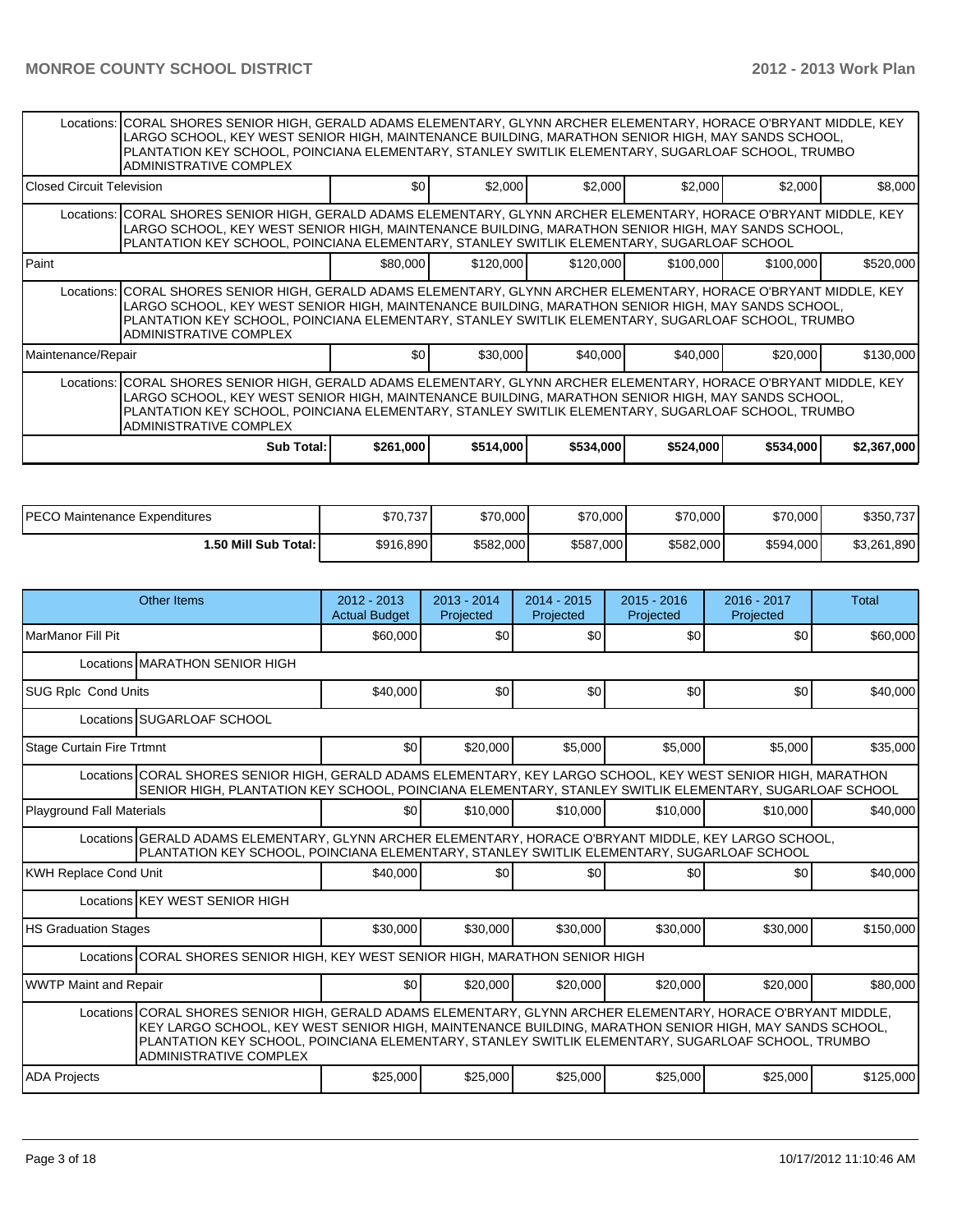|                                                                                                                                                                                                                                                                                                                                                               | Locations: CORAL SHORES SENIOR HIGH, GERALD ADAMS ELEMENTARY, GLYNN ARCHER ELEMENTARY, HORACE O'BRYANT MIDDLE, KEY<br>LARGO SCHOOL, KEY WEST SENIOR HIGH, MAINTENANCE BUILDING, MARATHON SENIOR HIGH, MAY SANDS SCHOOL,<br>PLANTATION KEY SCHOOL, POINCIANA ELEMENTARY, STANLEY SWITLIK ELEMENTARY, SUGARLOAF SCHOOL, TRUMBO<br><b>ADMINISTRATIVE COMPLEX</b> |           |           |           |           |           |             |  |  |  |  |
|---------------------------------------------------------------------------------------------------------------------------------------------------------------------------------------------------------------------------------------------------------------------------------------------------------------------------------------------------------------|---------------------------------------------------------------------------------------------------------------------------------------------------------------------------------------------------------------------------------------------------------------------------------------------------------------------------------------------------------------|-----------|-----------|-----------|-----------|-----------|-------------|--|--|--|--|
| l Closed Circuit Television                                                                                                                                                                                                                                                                                                                                   |                                                                                                                                                                                                                                                                                                                                                               | \$0       | \$2,000   | \$2,000   | \$2,000   | \$2,000   | \$8,000     |  |  |  |  |
|                                                                                                                                                                                                                                                                                                                                                               | Locations: CORAL SHORES SENIOR HIGH, GERALD ADAMS ELEMENTARY, GLYNN ARCHER ELEMENTARY, HORACE O'BRYANT MIDDLE, KEY<br>LARGO SCHOOL, KEY WEST SENIOR HIGH, MAINTENANCE BUILDING, MARATHON SENIOR HIGH, MAY SANDS SCHOOL,<br>PLANTATION KEY SCHOOL, POINCIANA ELEMENTARY, STANLEY SWITLIK ELEMENTARY, SUGARLOAF SCHOOL                                          |           |           |           |           |           |             |  |  |  |  |
| Paint                                                                                                                                                                                                                                                                                                                                                         |                                                                                                                                                                                                                                                                                                                                                               | \$80,000  | \$120,000 | \$120,000 | \$100,000 | \$100,000 | \$520,000   |  |  |  |  |
|                                                                                                                                                                                                                                                                                                                                                               | Locations: CORAL SHORES SENIOR HIGH, GERALD ADAMS ELEMENTARY, GLYNN ARCHER ELEMENTARY, HORACE O'BRYANT MIDDLE, KEY<br>LARGO SCHOOL, KEY WEST SENIOR HIGH, MAINTENANCE BUILDING, MARATHON SENIOR HIGH, MAY SANDS SCHOOL,<br>PLANTATION KEY SCHOOL, POINCIANA ELEMENTARY, STANLEY SWITLIK ELEMENTARY, SUGARLOAF SCHOOL, TRUMBO<br>ADMINISTRATIVE COMPLEX        |           |           |           |           |           |             |  |  |  |  |
| Maintenance/Repair                                                                                                                                                                                                                                                                                                                                            |                                                                                                                                                                                                                                                                                                                                                               | \$0       | \$30,000  | \$40,000  | \$40,000  | \$20,000  | \$130,000   |  |  |  |  |
| Locations: CORAL SHORES SENIOR HIGH, GERALD ADAMS ELEMENTARY, GLYNN ARCHER ELEMENTARY, HORACE O'BRYANT MIDDLE, KEY<br>LARGO SCHOOL, KEY WEST SENIOR HIGH, MAINTENANCE BUILDING, MARATHON SENIOR HIGH, MAY SANDS SCHOOL,<br>PLANTATION KEY SCHOOL, POINCIANA ELEMENTARY, STANLEY SWITLIK ELEMENTARY, SUGARLOAF SCHOOL, TRUMBO<br><b>ADMINISTRATIVE COMPLEX</b> |                                                                                                                                                                                                                                                                                                                                                               |           |           |           |           |           |             |  |  |  |  |
|                                                                                                                                                                                                                                                                                                                                                               | Sub Total:                                                                                                                                                                                                                                                                                                                                                    | \$261,000 | \$514,000 | \$534,000 | \$524,000 | \$534,000 | \$2,367,000 |  |  |  |  |

| <b>IPECO Maintenance Expenditures</b> | \$70,737<br>ሶግሶ | \$70,000  | \$70,000  | \$70,000  | \$70,000  | \$350,737   |
|---------------------------------------|-----------------|-----------|-----------|-----------|-----------|-------------|
| 1.50 Mill Sub Total: İ                | \$916,890       | \$582,000 | \$587,000 | \$582,000 | \$594,000 | \$3,261,890 |

| <b>Other Items</b>                                                                                                                                                                                                                                                                                                                                    | $2012 - 2013$<br><b>Actual Budget</b> | $2013 - 2014$<br>Projected | $2014 - 2015$<br>Projected | $2015 - 2016$<br>Projected | $2016 - 2017$<br>Projected | Total     |  |  |  |
|-------------------------------------------------------------------------------------------------------------------------------------------------------------------------------------------------------------------------------------------------------------------------------------------------------------------------------------------------------|---------------------------------------|----------------------------|----------------------------|----------------------------|----------------------------|-----------|--|--|--|
| l MarManor Fill Pit                                                                                                                                                                                                                                                                                                                                   | \$60,000                              | \$0                        | \$0                        | \$0                        | \$0                        | \$60,000  |  |  |  |
| Locations MARATHON SENIOR HIGH                                                                                                                                                                                                                                                                                                                        |                                       |                            |                            |                            |                            |           |  |  |  |
| <b>SUG Rplc Cond Units</b>                                                                                                                                                                                                                                                                                                                            | \$40,000                              | \$0                        | \$0                        | \$0                        | \$0                        | \$40,000  |  |  |  |
| Locations SUGARLOAF SCHOOL                                                                                                                                                                                                                                                                                                                            |                                       |                            |                            |                            |                            |           |  |  |  |
| <b>Stage Curtain Fire Trtmnt</b>                                                                                                                                                                                                                                                                                                                      | \$0                                   | \$20,000                   | \$5,000                    | \$5,000                    | \$5,000                    | \$35,000  |  |  |  |
| Locations CORAL SHORES SENIOR HIGH, GERALD ADAMS ELEMENTARY, KEY LARGO SCHOOL, KEY WEST SENIOR HIGH, MARATHON<br>SENIOR HIGH, PLANTATION KEY SCHOOL, POINCIANA ELEMENTARY, STANLEY SWITLIK ELEMENTARY, SUGARLOAF SCHOOL                                                                                                                               |                                       |                            |                            |                            |                            |           |  |  |  |
| Playground Fall Materials                                                                                                                                                                                                                                                                                                                             | \$0                                   | \$10,000                   | \$10,000                   | \$10,000                   | \$10,000                   | \$40,000  |  |  |  |
| Locations GERALD ADAMS ELEMENTARY, GLYNN ARCHER ELEMENTARY, HORACE O'BRYANT MIDDLE, KEY LARGO SCHOOL,<br>PLANTATION KEY SCHOOL, POINCIANA ELEMENTARY, STANLEY SWITLIK ELEMENTARY, SUGARLOAF SCHOOL                                                                                                                                                    |                                       |                            |                            |                            |                            |           |  |  |  |
| <b>KWH Replace Cond Unit</b>                                                                                                                                                                                                                                                                                                                          | \$40,000                              | \$0l                       | \$0                        | \$0                        | \$0 <sub>1</sub>           | \$40,000  |  |  |  |
| Locations KEY WEST SENIOR HIGH                                                                                                                                                                                                                                                                                                                        |                                       |                            |                            |                            |                            |           |  |  |  |
| <b>HS Graduation Stages</b>                                                                                                                                                                                                                                                                                                                           | \$30,000                              | \$30,000                   | \$30,000                   | \$30,000                   | \$30,000                   | \$150,000 |  |  |  |
| Locations CORAL SHORES SENIOR HIGH, KEY WEST SENIOR HIGH, MARATHON SENIOR HIGH                                                                                                                                                                                                                                                                        |                                       |                            |                            |                            |                            |           |  |  |  |
| <b>WWTP Maint and Repair</b>                                                                                                                                                                                                                                                                                                                          | \$0                                   | \$20,000                   | \$20,000                   | \$20,000                   | \$20,000                   | \$80,000  |  |  |  |
| Locations CORAL SHORES SENIOR HIGH, GERALD ADAMS ELEMENTARY, GLYNN ARCHER ELEMENTARY, HORACE O'BRYANT MIDDLE,<br>KEY LARGO SCHOOL, KEY WEST SENIOR HIGH, MAINTENANCE BUILDING, MARATHON SENIOR HIGH, MAY SANDS SCHOOL,<br>PLANTATION KEY SCHOOL, POINCIANA ELEMENTARY, STANLEY SWITLIK ELEMENTARY, SUGARLOAF SCHOOL, TRUMBO<br>ADMINISTRATIVE COMPLEX |                                       |                            |                            |                            |                            |           |  |  |  |
| <b>ADA Projects</b>                                                                                                                                                                                                                                                                                                                                   | \$25,000                              | \$25,000                   | \$25,000                   | \$25,000                   | \$25,000                   | \$125,000 |  |  |  |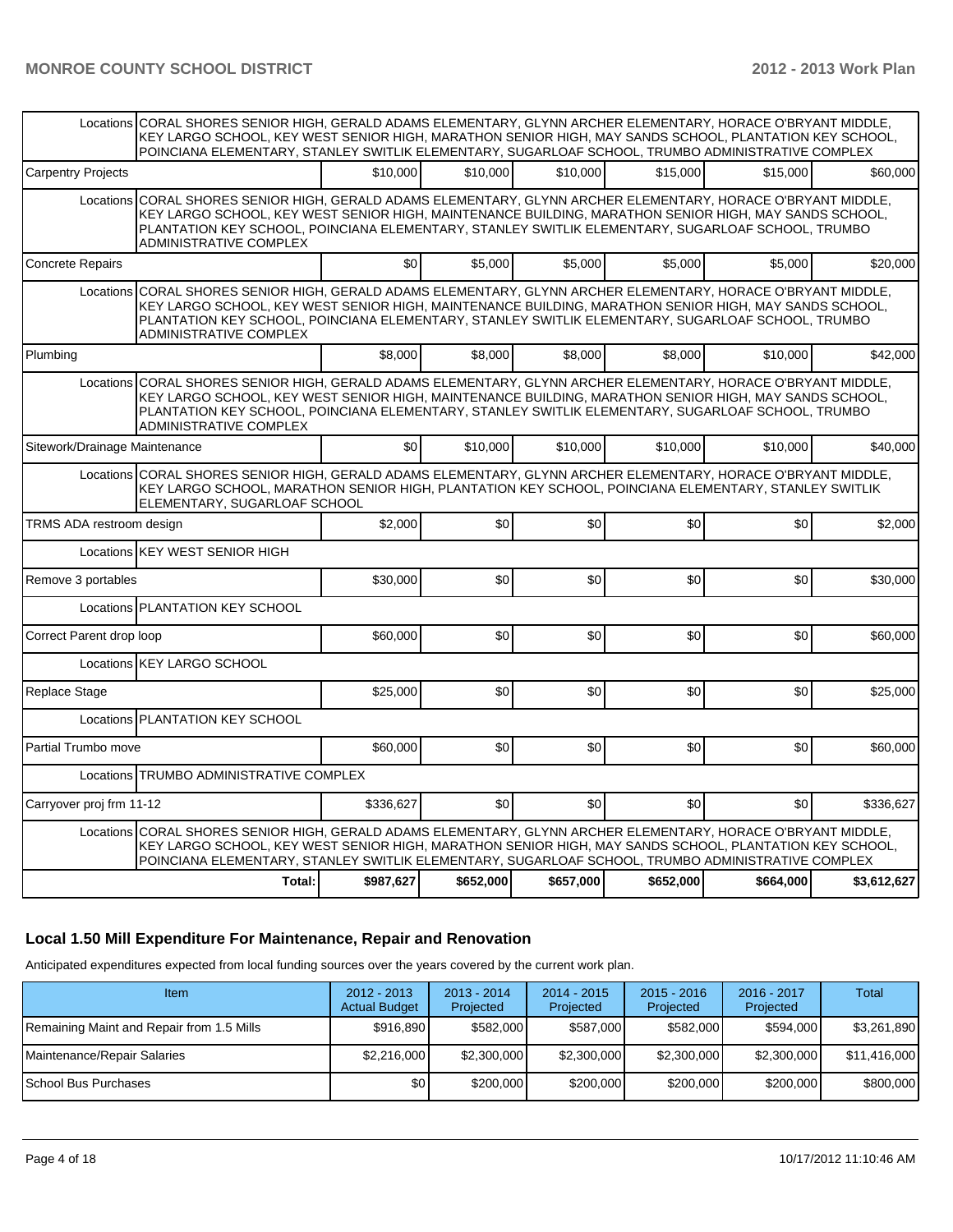|                               | Locations CORAL SHORES SENIOR HIGH, GERALD ADAMS ELEMENTARY, GLYNN ARCHER ELEMENTARY, HORACE O'BRYANT MIDDLE,<br>KEY LARGO SCHOOL, KEY WEST SENIOR HIGH, MARATHON SENIOR HIGH, MAY SANDS SCHOOL, PLANTATION KEY SCHOOL,<br>POINCIANA ELEMENTARY, STANLEY SWITLIK ELEMENTARY, SUGARLOAF SCHOOL, TRUMBO ADMINISTRATIVE COMPLEX                          |                  |                  |           |           |           |             |
|-------------------------------|-------------------------------------------------------------------------------------------------------------------------------------------------------------------------------------------------------------------------------------------------------------------------------------------------------------------------------------------------------|------------------|------------------|-----------|-----------|-----------|-------------|
| <b>Carpentry Projects</b>     |                                                                                                                                                                                                                                                                                                                                                       | \$10,000         | \$10,000         | \$10,000  | \$15,000  | \$15,000  | \$60,000    |
|                               | Locations CORAL SHORES SENIOR HIGH, GERALD ADAMS ELEMENTARY, GLYNN ARCHER ELEMENTARY, HORACE O'BRYANT MIDDLE,<br>KEY LARGO SCHOOL, KEY WEST SENIOR HIGH, MAINTENANCE BUILDING, MARATHON SENIOR HIGH, MAY SANDS SCHOOL,<br>PLANTATION KEY SCHOOL, POINCIANA ELEMENTARY, STANLEY SWITLIK ELEMENTARY, SUGARLOAF SCHOOL, TRUMBO<br>ADMINISTRATIVE COMPLEX |                  |                  |           |           |           |             |
| <b>Concrete Repairs</b>       |                                                                                                                                                                                                                                                                                                                                                       | \$0 <sub>l</sub> | \$5.000          | \$5,000   | \$5,000   | \$5,000   | \$20,000    |
|                               | Locations CORAL SHORES SENIOR HIGH, GERALD ADAMS ELEMENTARY, GLYNN ARCHER ELEMENTARY, HORACE O'BRYANT MIDDLE,<br>KEY LARGO SCHOOL, KEY WEST SENIOR HIGH, MAINTENANCE BUILDING, MARATHON SENIOR HIGH, MAY SANDS SCHOOL,<br>PLANTATION KEY SCHOOL, POINCIANA ELEMENTARY, STANLEY SWITLIK ELEMENTARY, SUGARLOAF SCHOOL, TRUMBO<br>ADMINISTRATIVE COMPLEX |                  |                  |           |           |           |             |
| Plumbing                      |                                                                                                                                                                                                                                                                                                                                                       | \$8,000          | \$8,000          | \$8,000   | \$8,000   | \$10,000  | \$42,000    |
| Locations                     | CORAL SHORES SENIOR HIGH, GERALD ADAMS ELEMENTARY, GLYNN ARCHER ELEMENTARY, HORACE O'BRYANT MIDDLE,<br>KEY LARGO SCHOOL, KEY WEST SENIOR HIGH, MAINTENANCE BUILDING, MARATHON SENIOR HIGH, MAY SANDS SCHOOL,<br>PLANTATION KEY SCHOOL, POINCIANA ELEMENTARY, STANLEY SWITLIK ELEMENTARY, SUGARLOAF SCHOOL, TRUMBO<br>ADMINISTRATIVE COMPLEX           |                  |                  |           |           |           |             |
| Sitework/Drainage Maintenance |                                                                                                                                                                                                                                                                                                                                                       | \$0              | \$10,000         | \$10,000  | \$10,000  | \$10,000  | \$40,000    |
|                               | Locations CORAL SHORES SENIOR HIGH, GERALD ADAMS ELEMENTARY, GLYNN ARCHER ELEMENTARY, HORACE O'BRYANT MIDDLE,<br>KEY LARGO SCHOOL, MARATHON SENIOR HIGH, PLANTATION KEY SCHOOL, POINCIANA ELEMENTARY, STANLEY SWITLIK<br>ELEMENTARY, SUGARLOAF SCHOOL                                                                                                 |                  |                  |           |           |           |             |
| TRMS ADA restroom design      |                                                                                                                                                                                                                                                                                                                                                       | \$2,000          | \$0              | \$0       | \$0       | \$0       | \$2,000     |
|                               | Locations KEY WEST SENIOR HIGH                                                                                                                                                                                                                                                                                                                        |                  |                  |           |           |           |             |
| Remove 3 portables            |                                                                                                                                                                                                                                                                                                                                                       | \$30,000         | \$0              | \$0       | \$0       | \$0       | \$30,000    |
|                               | Locations PLANTATION KEY SCHOOL                                                                                                                                                                                                                                                                                                                       |                  |                  |           |           |           |             |
| Correct Parent drop loop      |                                                                                                                                                                                                                                                                                                                                                       | \$60,000         | \$0              | \$0       | \$0       | \$0       | \$60,000    |
|                               | Locations KEY LARGO SCHOOL                                                                                                                                                                                                                                                                                                                            |                  |                  |           |           |           |             |
| Replace Stage                 |                                                                                                                                                                                                                                                                                                                                                       | \$25,000         | \$0              | \$0       | \$0       | \$0       | \$25,000    |
|                               | Locations PLANTATION KEY SCHOOL                                                                                                                                                                                                                                                                                                                       |                  |                  |           |           |           |             |
| Partial Trumbo move           |                                                                                                                                                                                                                                                                                                                                                       | \$60,000         | \$0              | \$0       | \$0       | \$0       | \$60,000    |
|                               | Locations TRUMBO ADMINISTRATIVE COMPLEX                                                                                                                                                                                                                                                                                                               |                  |                  |           |           |           |             |
| Carryover proj frm 11-12      |                                                                                                                                                                                                                                                                                                                                                       | \$336,627        | \$0 <sub>l</sub> | \$0       | \$0       | \$0       | \$336,627   |
|                               | Locations CORAL SHORES SENIOR HIGH, GERALD ADAMS ELEMENTARY, GLYNN ARCHER ELEMENTARY, HORACE O'BRYANT MIDDLE,<br>KEY LARGO SCHOOL, KEY WEST SENIOR HIGH, MARATHON SENIOR HIGH, MAY SANDS SCHOOL, PLANTATION KEY SCHOOL,<br>POINCIANA ELEMENTARY, STANLEY SWITLIK ELEMENTARY, SUGARLOAF SCHOOL, TRUMBO ADMINISTRATIVE COMPLEX                          |                  |                  |           |           |           |             |
|                               | Total:                                                                                                                                                                                                                                                                                                                                                | \$987,627        | \$652,000        | \$657,000 | \$652,000 | \$664,000 | \$3,612,627 |

# **Local 1.50 Mill Expenditure For Maintenance, Repair and Renovation**

Anticipated expenditures expected from local funding sources over the years covered by the current work plan.

| Item                                      | $2012 - 2013$<br><b>Actual Budget</b> | $2013 - 2014$<br>Projected | $2014 - 2015$<br>Projected | $2015 - 2016$<br>Projected | $2016 - 2017$<br>Projected | Total        |
|-------------------------------------------|---------------------------------------|----------------------------|----------------------------|----------------------------|----------------------------|--------------|
| Remaining Maint and Repair from 1.5 Mills | \$916,890                             | \$582,000                  | \$587,000                  | \$582,000                  | \$594.000                  | \$3,261,890  |
| Maintenance/Repair Salaries               | \$2,216,000                           | \$2,300,000                | \$2,300,000                | \$2,300,000                | \$2,300,000                | \$11,416,000 |
| <b>ISchool Bus Purchases</b>              | \$0                                   | \$200,000                  | \$200,000                  | \$200,000                  | \$200,000                  | \$800,000    |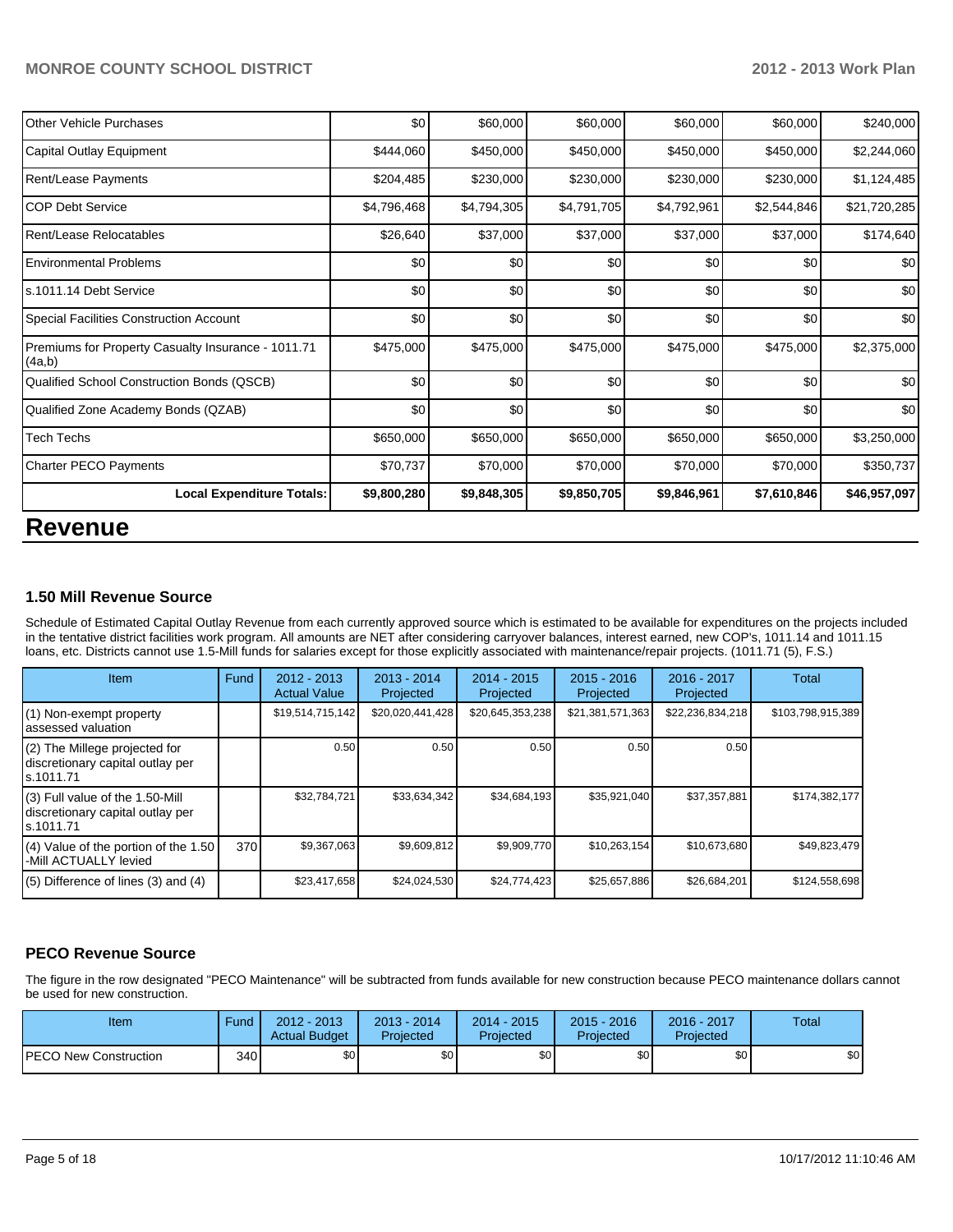| <b>Other Vehicle Purchases</b>                               | \$0         | \$60,000    | \$60,000    | \$60,000    | \$60,000    | \$240,000    |
|--------------------------------------------------------------|-------------|-------------|-------------|-------------|-------------|--------------|
| Capital Outlay Equipment                                     | \$444,060   | \$450,000   | \$450,000   | \$450,000   | \$450,000   | \$2,244,060  |
| Rent/Lease Payments                                          | \$204,485   | \$230,000   | \$230,000   | \$230,000   | \$230,000   | \$1,124,485  |
| ICOP Debt Service                                            | \$4,796,468 | \$4,794,305 | \$4,791,705 | \$4,792,961 | \$2,544,846 | \$21,720,285 |
| Rent/Lease Relocatables                                      | \$26,640    | \$37,000    | \$37,000    | \$37,000    | \$37,000    | \$174,640    |
| <b>I Environmental Problems</b>                              | \$0         | \$0         | \$0         | \$0         | \$0         | \$0          |
| ls.1011.14 Debt Service                                      | \$0         | \$0         | \$0         | \$0         | \$0         | \$0          |
| Special Facilities Construction Account                      | \$0         | \$0         | \$0         | \$0         | \$0         | \$0          |
| Premiums for Property Casualty Insurance - 1011.71<br>(4a,b) | \$475,000   | \$475,000   | \$475,000   | \$475,000   | \$475,000   | \$2,375,000  |
| Qualified School Construction Bonds (QSCB)                   | \$0         | \$0         | \$0         | \$0         | \$0         | \$0          |
| Qualified Zone Academy Bonds (QZAB)                          | \$0         | \$0         | \$0         | \$0         | \$0         | \$0          |
| <b>Tech Techs</b>                                            | \$650,000   | \$650,000   | \$650,000   | \$650,000   | \$650,000   | \$3,250,000  |
| <b>Charter PECO Payments</b>                                 | \$70,737    | \$70,000    | \$70,000    | \$70,000    | \$70,000    | \$350,737    |
| <b>Local Expenditure Totals:</b>                             | \$9,800,280 | \$9,848,305 | \$9,850,705 | \$9,846,961 | \$7,610,846 | \$46,957,097 |
|                                                              |             |             |             |             |             |              |

# **Revenue**

#### **1.50 Mill Revenue Source**

Schedule of Estimated Capital Outlay Revenue from each currently approved source which is estimated to be available for expenditures on the projects included in the tentative district facilities work program. All amounts are NET after considering carryover balances, interest earned, new COP's, 1011.14 and 1011.15 loans, etc. Districts cannot use 1.5-Mill funds for salaries except for those explicitly associated with maintenance/repair projects. (1011.71 (5), F.S.)

| Item                                                                                | Fund | $2012 - 2013$<br><b>Actual Value</b> | $2013 - 2014$<br>Projected | $2014 - 2015$<br>Projected | $2015 - 2016$<br>Projected | $2016 - 2017$<br>Projected | <b>Total</b>      |
|-------------------------------------------------------------------------------------|------|--------------------------------------|----------------------------|----------------------------|----------------------------|----------------------------|-------------------|
| (1) Non-exempt property<br>assessed valuation                                       |      | \$19,514,715,142                     | \$20,020,441,428           | \$20,645,353,238           | \$21,381,571,363           | \$22,236,834,218           | \$103,798,915,389 |
| (2) The Millege projected for<br>discretionary capital outlay per<br>ls.1011.71     |      | 0.50                                 | 0.50                       | 0.50                       | 0.50                       | 0.50                       |                   |
| $(3)$ Full value of the 1.50-Mill<br>discretionary capital outlay per<br>ls.1011.71 |      | \$32,784,721                         | \$33,634,342               | \$34,684,193               | \$35,921,040               | \$37,357,881               | \$174,382,177     |
| (4) Value of the portion of the 1.50<br>-Mill ACTUALLY levied                       | 370  | \$9,367,063                          | \$9,609,812                | \$9,909,770                | \$10,263,154               | \$10,673,680               | \$49,823,479      |
| $(5)$ Difference of lines $(3)$ and $(4)$                                           |      | \$23,417,658                         | \$24,024,530               | \$24,774,423               | \$25,657,886               | \$26,684,201               | \$124,558,698     |

# **PECO Revenue Source**

The figure in the row designated "PECO Maintenance" will be subtracted from funds available for new construction because PECO maintenance dollars cannot be used for new construction.

| Item                         | Fund | $2012 - 2013$<br><b>Actual Budget</b> | $2013 - 2014$<br>Projected | $2014 - 2015$<br>Projected | $2015 - 2016$<br>Projected | 2016 - 2017<br>Projected | Total |
|------------------------------|------|---------------------------------------|----------------------------|----------------------------|----------------------------|--------------------------|-------|
| <b>PECO New Construction</b> | 340  | \$0 <sub>1</sub>                      | \$0 <sub>1</sub>           | \$0                        | \$0 <sub>1</sub>           | \$0                      | \$0   |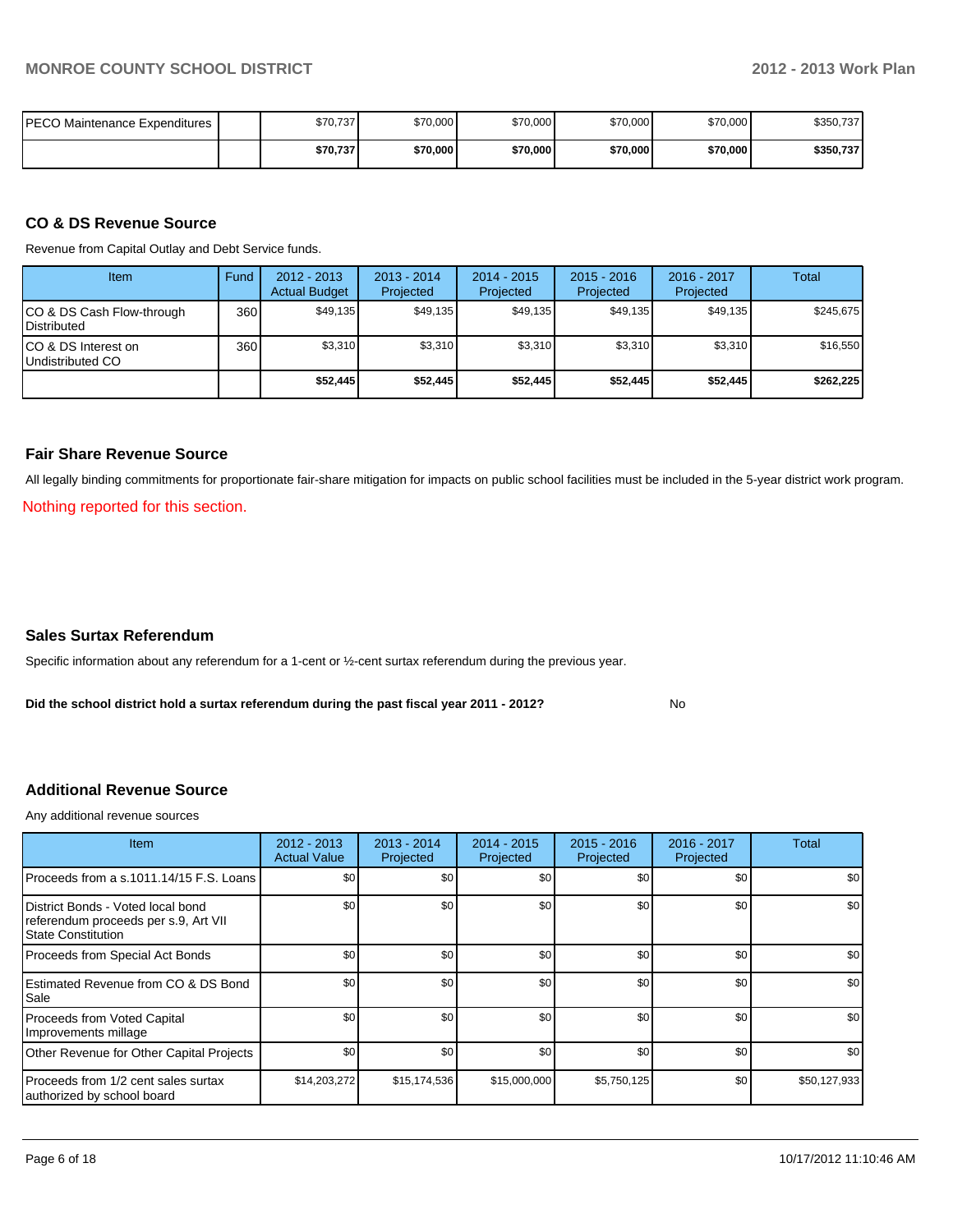| IPECO Maintenance Expenditures | \$70.737 | \$70,000 | \$70,000 | \$70,000 | \$70,000 | \$350,737 |
|--------------------------------|----------|----------|----------|----------|----------|-----------|
|                                | \$70,737 | \$70,000 | \$70,000 | \$70,000 | \$70,000 | \$350,737 |

#### **CO & DS Revenue Source**

Revenue from Capital Outlay and Debt Service funds.

| Item                                               | Fund | $2012 - 2013$<br><b>Actual Budget</b> | $2013 - 2014$<br>Projected | $2014 - 2015$<br>Projected | $2015 - 2016$<br>Projected | $2016 - 2017$<br>Projected | Total     |
|----------------------------------------------------|------|---------------------------------------|----------------------------|----------------------------|----------------------------|----------------------------|-----------|
| ICO & DS Cash Flow-through<br><b>I</b> Distributed | 360  | \$49.135                              | \$49,135                   | \$49,135                   | \$49,135                   | \$49,135                   | \$245.675 |
| ICO & DS Interest on<br>Undistributed CO           | 360  | \$3,310                               | \$3,310                    | \$3,310                    | \$3,310                    | \$3,310                    | \$16,550  |
|                                                    |      | \$52,445                              | \$52,445                   | \$52,445                   | \$52.445                   | \$52.445                   | \$262,225 |

### **Fair Share Revenue Source**

All legally binding commitments for proportionate fair-share mitigation for impacts on public school facilities must be included in the 5-year district work program.

Nothing reported for this section.

#### **Sales Surtax Referendum**

Specific information about any referendum for a 1-cent or ½-cent surtax referendum during the previous year.

**Did the school district hold a surtax referendum during the past fiscal year 2011 - 2012?**

No

#### **Additional Revenue Source**

Any additional revenue sources

| Item                                                                                              | $2012 - 2013$<br><b>Actual Value</b> | $2013 - 2014$<br>Projected | 2014 - 2015<br>Projected | 2015 - 2016<br>Projected | 2016 - 2017<br>Projected | Total            |
|---------------------------------------------------------------------------------------------------|--------------------------------------|----------------------------|--------------------------|--------------------------|--------------------------|------------------|
| Proceeds from a s.1011.14/15 F.S. Loans                                                           | \$0                                  | \$0                        | \$0                      | \$0                      | \$0                      | \$0 <sub>1</sub> |
| District Bonds - Voted local bond<br>referendum proceeds per s.9, Art VII<br>l State Constitution | \$0                                  | \$0                        | \$0                      | \$0                      | \$0                      | \$0              |
| Proceeds from Special Act Bonds                                                                   | \$0                                  | \$0                        | \$0                      | \$0                      | \$0                      | \$0              |
| <b>IEstimated Revenue from CO &amp; DS Bond</b><br>l Sale                                         | \$0                                  | \$0                        | \$0                      | \$0                      | \$0                      | \$0 <sub>1</sub> |
| Proceeds from Voted Capital<br>Improvements millage                                               | \$0                                  | \$0                        | \$0                      | \$0                      | \$0                      | \$0              |
| Other Revenue for Other Capital Projects                                                          | \$0                                  | \$0                        | \$0                      | \$0                      | \$0                      | \$0 <sub>1</sub> |
| Proceeds from 1/2 cent sales surtax<br>authorized by school board                                 | \$14,203,272                         | \$15, 174, 536             | \$15,000,000             | \$5,750,125              | \$0                      | \$50,127,933     |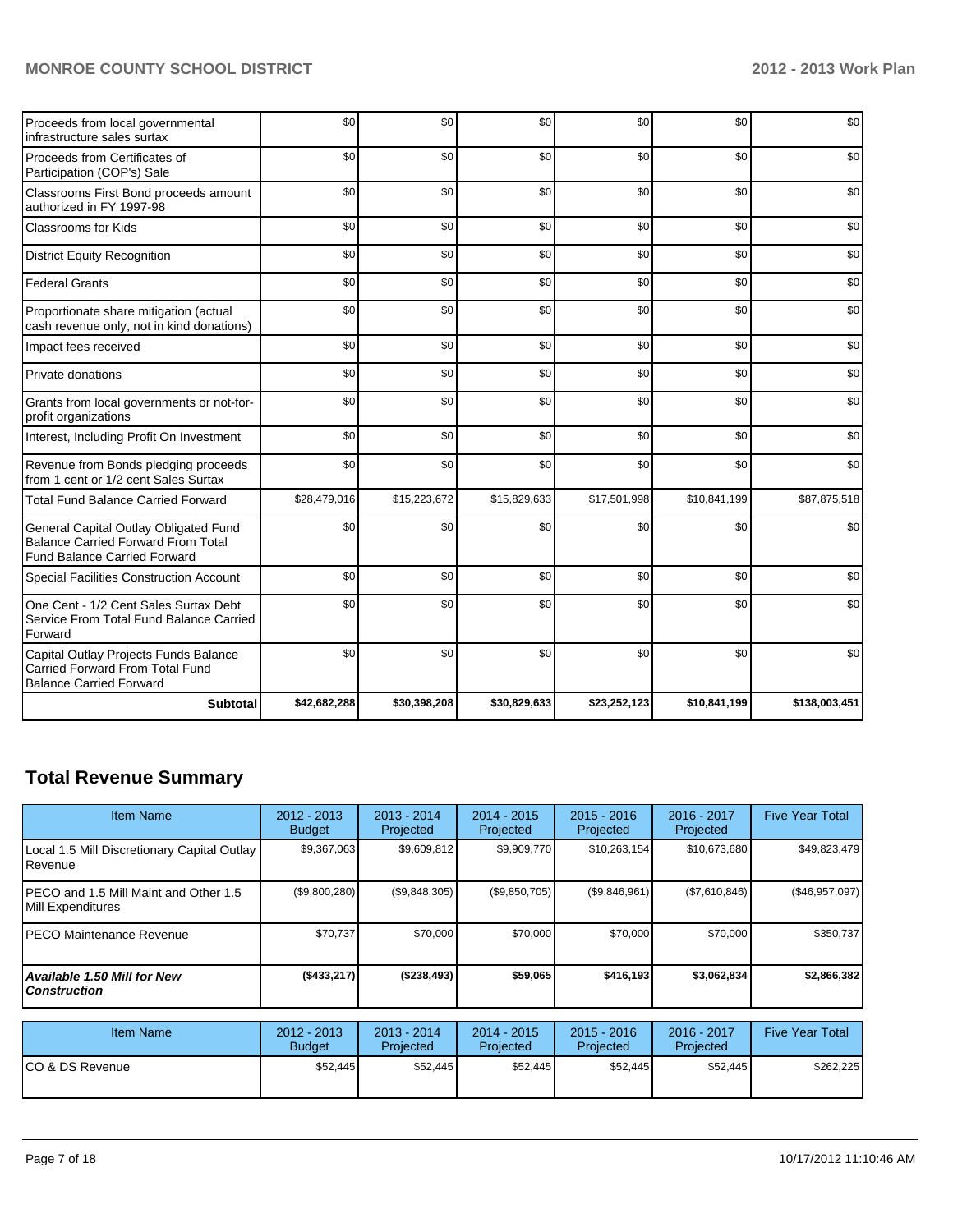# **MONROE COUNTY SCHOOL DISTRICT 2012 - 2013 Work Plan**

| Proceeds from local governmental<br>infrastructure sales surtax                                                           | \$0          | \$0          | \$0          | \$0          | \$0          | \$0           |
|---------------------------------------------------------------------------------------------------------------------------|--------------|--------------|--------------|--------------|--------------|---------------|
| Proceeds from Certificates of<br>Participation (COP's) Sale                                                               | \$0          | \$0          | \$0          | \$0          | \$0          | \$0           |
| Classrooms First Bond proceeds amount<br>authorized in FY 1997-98                                                         | \$0          | \$0          | \$0          | \$0          | \$0          | \$0           |
| <b>Classrooms for Kids</b>                                                                                                | \$0          | \$0          | \$0          | \$0          | \$0          | \$0           |
| <b>District Equity Recognition</b>                                                                                        | \$0          | \$0          | \$0          | \$0          | \$0          | \$0           |
| <b>Federal Grants</b>                                                                                                     | \$0          | \$0          | \$0          | \$0          | \$0          | \$0           |
| Proportionate share mitigation (actual<br>cash revenue only, not in kind donations)                                       | \$0          | \$0          | \$0          | \$0          | \$0          | \$0           |
| Impact fees received                                                                                                      | \$0          | \$0          | \$0          | \$0          | \$0          | \$0           |
| Private donations                                                                                                         | \$0          | \$0          | \$0          | \$0          | \$0          | \$0           |
| Grants from local governments or not-for-<br>profit organizations                                                         | \$0          | \$0          | \$0          | \$0          | \$0          | \$0           |
| Interest, Including Profit On Investment                                                                                  | \$0          | \$0          | \$0          | \$0          | \$0          | \$0           |
| Revenue from Bonds pledging proceeds<br>from 1 cent or 1/2 cent Sales Surtax                                              | \$0          | \$0          | \$0          | \$0          | \$0          | \$0           |
| <b>Total Fund Balance Carried Forward</b>                                                                                 | \$28,479,016 | \$15,223,672 | \$15,829,633 | \$17,501,998 | \$10,841,199 | \$87,875,518  |
| General Capital Outlay Obligated Fund<br><b>Balance Carried Forward From Total</b><br><b>Fund Balance Carried Forward</b> | \$0          | \$0          | \$0          | \$0          | \$0          | \$0           |
| Special Facilities Construction Account                                                                                   | \$0          | \$0          | \$0          | \$0          | \$0          | \$0           |
| One Cent - 1/2 Cent Sales Surtax Debt<br>Service From Total Fund Balance Carried<br>Forward                               | \$0          | \$0          | \$0          | \$0          | \$0          | \$0           |
| Capital Outlay Projects Funds Balance<br>Carried Forward From Total Fund<br><b>Balance Carried Forward</b>                | \$0          | \$0          | \$0          | \$0          | \$0          | \$0           |
| <b>Subtotal</b>                                                                                                           | \$42,682,288 | \$30,398,208 | \$30,829,633 | \$23,252,123 | \$10,841,199 | \$138,003,451 |

# **Total Revenue Summary**

| <b>Item Name</b>                                                | $2012 - 2013$<br><b>Budget</b> | $2013 - 2014$<br>Projected | $2014 - 2015$<br>Projected | $2015 - 2016$<br>Projected | 2016 - 2017<br>Projected | <b>Five Year Total</b> |
|-----------------------------------------------------------------|--------------------------------|----------------------------|----------------------------|----------------------------|--------------------------|------------------------|
| Local 1.5 Mill Discretionary Capital Outlay<br><b>I</b> Revenue | \$9,367,063                    | \$9,609,812                | \$9,909,770                | \$10,263,154               | \$10,673,680             | \$49,823,479           |
| IPECO and 1.5 Mill Maint and Other 1.5<br>Mill Expenditures     | (\$9,800,280)                  | (\$9,848,305)              | (\$9,850,705)              | (S9, 846, 961)             | (\$7,610,846)            | $(\$46,957,097)$       |
| <b>IPECO Maintenance Revenue</b>                                | \$70.737                       | \$70,000                   | \$70,000                   | \$70,000                   | \$70,000                 | \$350,737              |
| Available 1.50 Mill for New l<br>l Construction                 | ( \$433, 217)                  | (\$238,493)                | \$59,065                   | \$416,193                  | \$3,062,834              | \$2,866,382            |

| <b>Item Name</b> | 2012 - 2013<br><b>Budget</b> | $2013 - 2014$<br>Projected | 2014 - 2015<br>Projected | $2015 - 2016$<br>Projected | 2016 - 2017<br>Projected | <b>Five Year Total</b> |
|------------------|------------------------------|----------------------------|--------------------------|----------------------------|--------------------------|------------------------|
| ICO & DS Revenue | \$52,445                     | \$52,445                   | \$52,445                 | \$52,445                   | \$52,445                 | \$262,225              |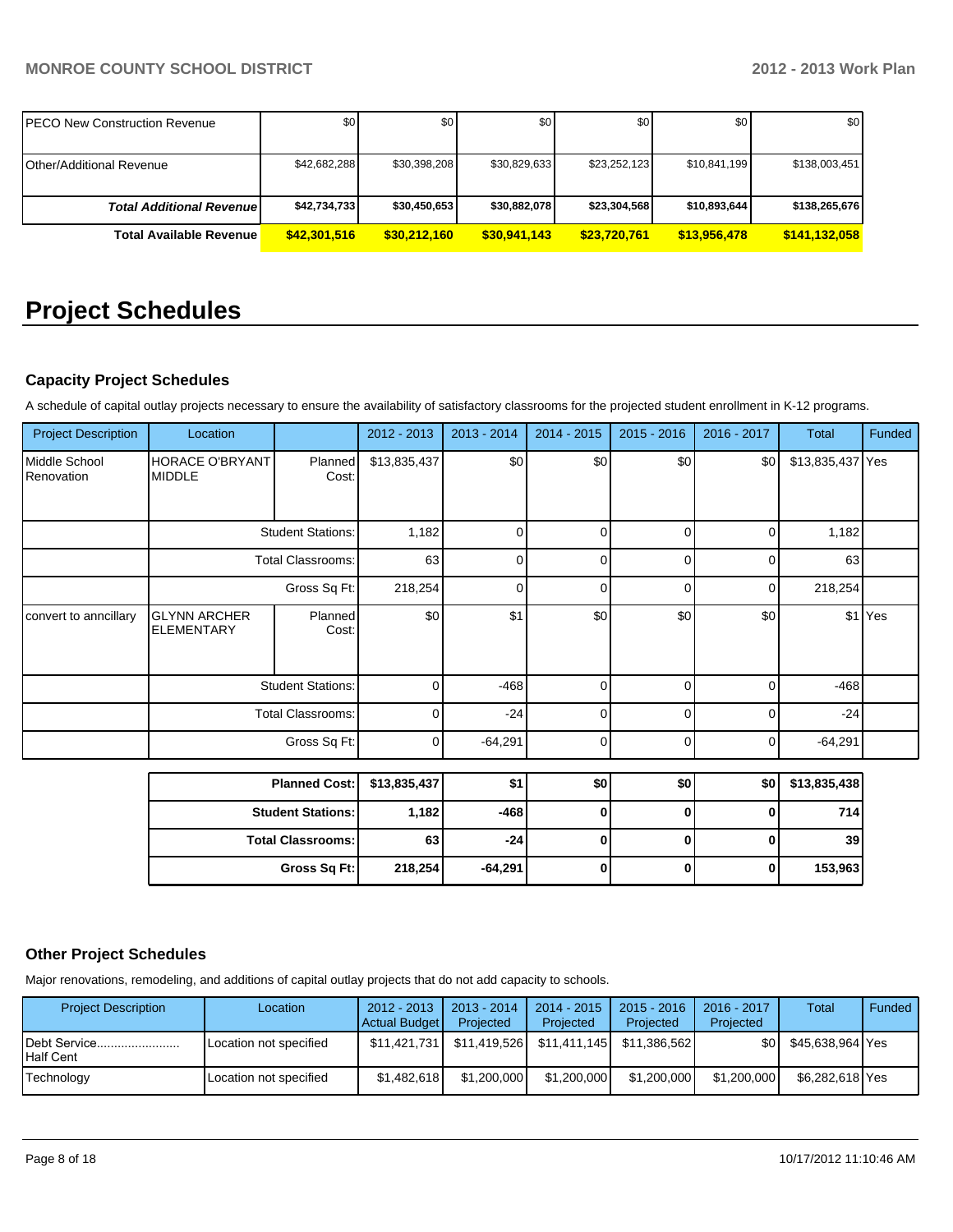| <b>PECO New Construction Revenue</b> | \$0          | \$0          | \$0          | \$0          | \$0 <sub>1</sub> | \$0 <sub>1</sub> |
|--------------------------------------|--------------|--------------|--------------|--------------|------------------|------------------|
| <b>Other/Additional Revenue</b>      | \$42,682,288 | \$30,398,208 | \$30,829,633 | \$23,252,123 | \$10,841,199     | \$138,003,451    |
| <b>Total Additional Revenuel</b>     | \$42,734,733 | \$30,450,653 | \$30,882,078 | \$23,304,568 | \$10,893,644     | \$138,265,676    |
| <b>Total Available Revenue</b>       | \$42,301,516 | \$30,212,160 | \$30,941,143 | \$23,720,761 | \$13,956,478     | \$141,132,058    |

# **Project Schedules**

# **Capacity Project Schedules**

A schedule of capital outlay projects necessary to ensure the availability of satisfactory classrooms for the projected student enrollment in K-12 programs.

| <b>Project Description</b>  | Location                                 |                          | 2012 - 2013  | 2013 - 2014 | $2014 - 2015$ | $2015 - 2016$ | 2016 - 2017 | <b>Total</b>       | Funded  |
|-----------------------------|------------------------------------------|--------------------------|--------------|-------------|---------------|---------------|-------------|--------------------|---------|
| Middle School<br>Renovation | <b>HORACE O'BRYANT</b><br><b>MIDDLE</b>  | <b>Planned</b><br>Cost:  | \$13,835,437 | \$0         | \$0           | \$0           | \$0         | \$13,835,437 Yes   |         |
|                             |                                          | <b>Student Stations:</b> | 1,182        | n           | $\Omega$      | U             | $\Omega$    | 1,182              |         |
|                             |                                          | Total Classrooms:        | 63           | n           | 0             | <sup>0</sup>  | $\Omega$    | 63                 |         |
|                             | Gross Sq Ft:                             |                          | 218,254      | n           | $\Omega$      | 0             | 0           | 218,254            |         |
| convert to anncillary       | <b>GLYNN ARCHER</b><br><b>ELEMENTARY</b> | <b>Planned</b><br>Cost:  | \$0          | \$1         | \$0           | \$0           | \$0         |                    | \$1 Yes |
|                             |                                          | <b>Student Stations:</b> | $\Omega$     | $-468$      | $\Omega$      | U             | $\Omega$    | $-468$             |         |
|                             | <b>Total Classrooms:</b>                 |                          | $\Omega$     | $-24$       | 0             | 0             | $\Omega$    | $-24$              |         |
|                             | Gross Sq Ft:                             |                          | 0            | $-64,291$   | $\Omega$      | 0             | $\Omega$    | $-64,291$          |         |
|                             | <b>Planned Cost-I</b>                    |                          | 43.835.437   | ¢۱          | ≮∩l           | ≮∩ l          | ≮∩ l        | <b>C13 835 438</b> |         |

| Planned Cost:   \$13,835,437 |         | \$1       | \$0 | \$0 | \$0 | \$13,835,438 |
|------------------------------|---------|-----------|-----|-----|-----|--------------|
| <b>Student Stations:</b>     | 1.182 l | -468 l    |     |     |     | 714          |
| <b>Total Classrooms:</b>     | 63      | -241      |     |     |     | 39           |
| Gross Sq Ft:                 | 218,254 | $-64,291$ |     |     |     | 153,963      |

# **Other Project Schedules**

Major renovations, remodeling, and additions of capital outlay projects that do not add capacity to schools.

| <b>Project Description</b> | Location               | $2012 - 2013$<br>Actual Budget | $2013 - 2014$<br>Projected | $2014 - 2015$<br>Projected  | $2015 - 2016$<br>Projected | $2016 - 2017$<br>Projected | <b>Total</b>     | Funded |
|----------------------------|------------------------|--------------------------------|----------------------------|-----------------------------|----------------------------|----------------------------|------------------|--------|
| Debt Service<br>Half Cent  | Location not specified | \$11.421.731                   | \$11.419.526               | \$11,411,145   \$11,386,562 |                            | \$0 I                      | \$45.638.964 Yes |        |
| Technology                 | Location not specified | \$1.482.618                    | \$1,200,000                | \$1,200,000                 | \$1,200,000                | \$1,200,000                | \$6,282,618 Yes  |        |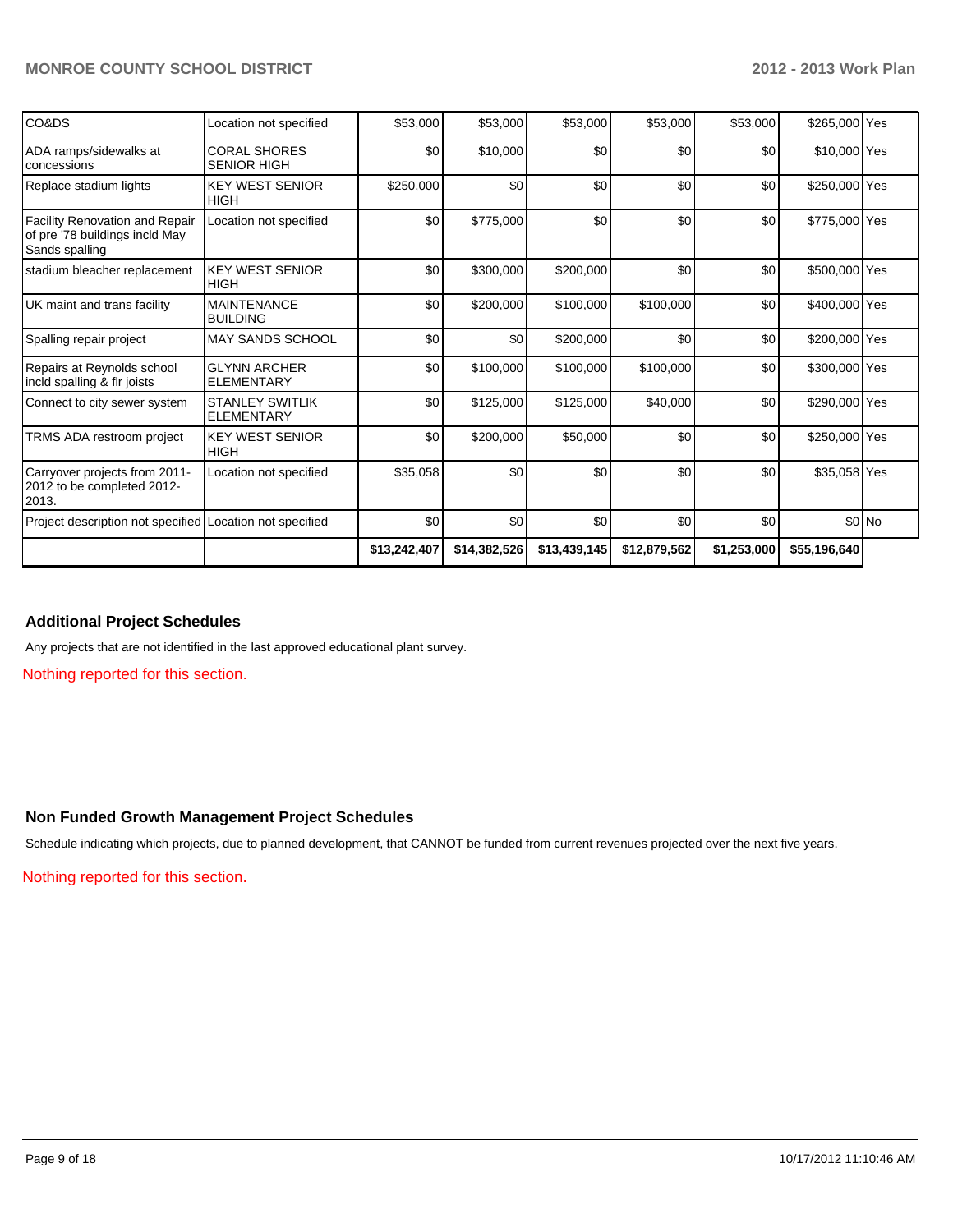| CO&DS                                                                                     | Location not specified                      | \$53,000     | \$53,000     | \$53,000     | \$53,000     | \$53,000    | \$265,000 Yes |         |
|-------------------------------------------------------------------------------------------|---------------------------------------------|--------------|--------------|--------------|--------------|-------------|---------------|---------|
| ADA ramps/sidewalks at<br>concessions                                                     | <b>CORAL SHORES</b><br><b>SENIOR HIGH</b>   | \$0          | \$10,000     | \$0          | \$0          | \$0         | \$10,000 Yes  |         |
| Replace stadium lights                                                                    | <b>KEY WEST SENIOR</b><br><b>HIGH</b>       | \$250,000    | \$0          | \$0          | \$0          | \$0         | \$250,000 Yes |         |
| <b>Facility Renovation and Repair</b><br>of pre '78 buildings incld May<br>Sands spalling | Location not specified                      | \$0          | \$775,000    | \$0          | \$0          | \$0         | \$775,000 Yes |         |
| stadium bleacher replacement                                                              | <b>KEY WEST SENIOR</b><br><b>HIGH</b>       | \$0          | \$300,000    | \$200,000    | \$0          | \$0         | \$500,000 Yes |         |
| UK maint and trans facility                                                               | <b>MAINTENANCE</b><br><b>BUILDING</b>       | \$0          | \$200,000    | \$100,000    | \$100,000    | \$0         | \$400,000 Yes |         |
| Spalling repair project                                                                   | <b>MAY SANDS SCHOOL</b>                     | \$0          | \$0          | \$200,000    | \$0          | \$0         | \$200,000 Yes |         |
| Repairs at Reynolds school<br>incld spalling & flr joists                                 | <b>GLYNN ARCHER</b><br><b>ELEMENTARY</b>    | \$0          | \$100,000    | \$100,000    | \$100,000    | \$0         | \$300,000 Yes |         |
| Connect to city sewer system                                                              | <b>STANLEY SWITLIK</b><br><b>ELEMENTARY</b> | \$0          | \$125,000    | \$125,000    | \$40,000     | \$0         | \$290,000 Yes |         |
| TRMS ADA restroom project                                                                 | <b>KEY WEST SENIOR</b><br><b>HIGH</b>       | \$0          | \$200,000    | \$50,000     | \$0          | \$0         | \$250,000 Yes |         |
| Carryover projects from 2011-<br>2012 to be completed 2012-<br>2013.                      | Location not specified                      | \$35,058     | \$0          | \$0          | \$0          | \$0         | \$35,058 Yes  |         |
| Project description not specified Location not specified                                  |                                             | \$0          | \$0          | \$0          | \$0          | \$0         |               | $$0$ No |
|                                                                                           |                                             | \$13,242,407 | \$14,382,526 | \$13,439,145 | \$12,879,562 | \$1,253,000 | \$55,196,640  |         |

# **Additional Project Schedules**

Any projects that are not identified in the last approved educational plant survey.

Nothing reported for this section.

### **Non Funded Growth Management Project Schedules**

Schedule indicating which projects, due to planned development, that CANNOT be funded from current revenues projected over the next five years.

Nothing reported for this section.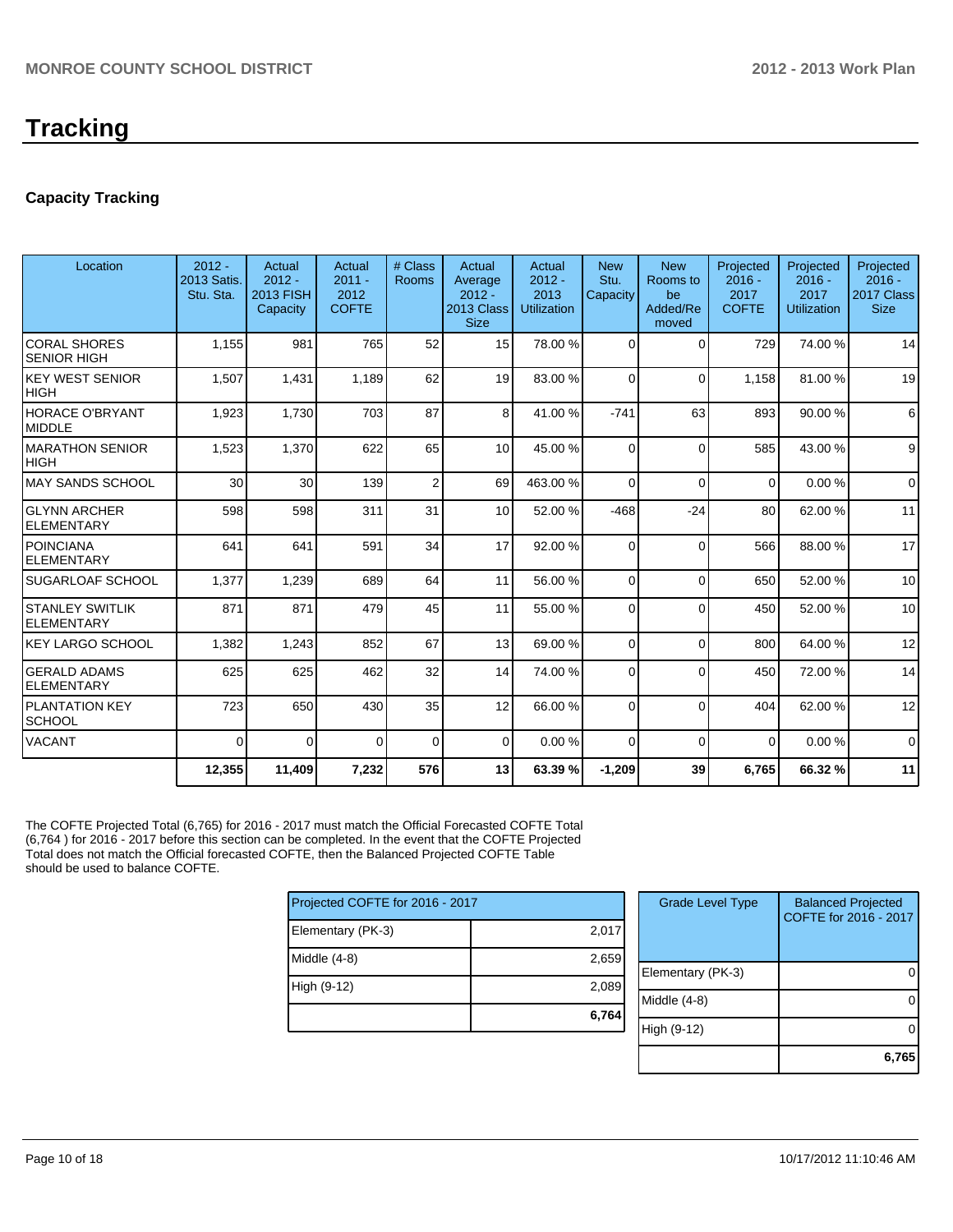# **Capacity Tracking**

| Location                                    | $2012 -$<br>2013 Satis.<br>Stu. Sta. | Actual<br>$2012 -$<br>2013 FISH<br>Capacity | Actual<br>$2011 -$<br>2012<br><b>COFTE</b> | # Class<br><b>Rooms</b> | Actual<br>Average<br>$2012 -$<br>2013 Class<br><b>Size</b> | Actual<br>$2012 -$<br>2013<br><b>Utilization</b> | <b>New</b><br>Stu.<br>Capacity | <b>New</b><br>Rooms to<br>be<br>Added/Re<br>moved | Projected<br>$2016 -$<br>2017<br><b>COFTE</b> | Projected<br>$2016 -$<br>2017<br><b>Utilization</b> | Projected<br>$2016 -$<br>2017 Class<br><b>Size</b> |
|---------------------------------------------|--------------------------------------|---------------------------------------------|--------------------------------------------|-------------------------|------------------------------------------------------------|--------------------------------------------------|--------------------------------|---------------------------------------------------|-----------------------------------------------|-----------------------------------------------------|----------------------------------------------------|
| <b>CORAL SHORES</b><br><b>SENIOR HIGH</b>   | 1,155                                | 981                                         | 765                                        | 52                      | 15                                                         | 78.00 %                                          | $\Omega$                       | $\Omega$                                          | 729                                           | 74.00 %                                             | 14                                                 |
| <b>KEY WEST SENIOR</b><br><b>HIGH</b>       | 1,507                                | 1,431                                       | 1,189                                      | 62                      | 19                                                         | 83.00 %                                          | $\Omega$                       | $\Omega$                                          | 1,158                                         | 81.00%                                              | 19                                                 |
| <b>HORACE O'BRYANT</b><br><b>MIDDLE</b>     | 1,923                                | 1.730                                       | 703                                        | 87                      | 8 <sup>1</sup>                                             | 41.00 %                                          | $-741$                         | 63                                                | 893                                           | 90.00 %                                             | 6                                                  |
| <b>MARATHON SENIOR</b><br><b>HIGH</b>       | 1,523                                | 1,370                                       | 622                                        | 65                      | 10 <sup>1</sup>                                            | 45.00 %                                          | $\Omega$                       | $\Omega$                                          | 585                                           | 43.00 %                                             | 9                                                  |
| <b>MAY SANDS SCHOOL</b>                     | 30                                   | 30                                          | 139                                        | $\overline{2}$          | 69                                                         | 463.00%                                          | $\Omega$                       | $\Omega$                                          | 0                                             | 0.00%                                               | $\mathbf 0$                                        |
| <b>GLYNN ARCHER</b><br>ELEMENTARY           | 598                                  | 598                                         | 311                                        | 31                      | 10 <sup>1</sup>                                            | 52.00 %                                          | $-468$                         | $-24$                                             | 80                                            | 62.00%                                              | 11                                                 |
| <b>POINCIANA</b><br><b>ELEMENTARY</b>       | 641                                  | 641                                         | 591                                        | 34                      | 17                                                         | 92.00 %                                          | $\Omega$                       | $\Omega$                                          | 566                                           | 88.00 %                                             | 17                                                 |
| SUGARLOAF SCHOOL                            | 1,377                                | 1,239                                       | 689                                        | 64                      | 11                                                         | 56.00 %                                          | $\Omega$                       | $\Omega$                                          | 650                                           | 52.00 %                                             | 10                                                 |
| <b>STANLEY SWITLIK</b><br><b>ELEMENTARY</b> | 871                                  | 871                                         | 479                                        | 45                      | 11                                                         | 55.00 %                                          | $\Omega$                       | $\Omega$                                          | 450                                           | 52.00 %                                             | 10                                                 |
| <b>KEY LARGO SCHOOL</b>                     | 1,382                                | 1,243                                       | 852                                        | 67                      | 13                                                         | 69.00 %                                          | $\Omega$                       | $\Omega$                                          | 800                                           | 64.00%                                              | 12                                                 |
| <b>GERALD ADAMS</b><br><b>ELEMENTARY</b>    | 625                                  | 625                                         | 462                                        | 32                      | 14                                                         | 74.00 %                                          | $\Omega$                       | $\Omega$                                          | 450                                           | 72.00 %                                             | 14                                                 |
| PLANTATION KEY<br><b>SCHOOL</b>             | 723                                  | 650                                         | 430                                        | 35                      | 12                                                         | 66.00 %                                          | $\Omega$                       | $\Omega$                                          | 404                                           | 62.00%                                              | 12                                                 |
| <b>VACANT</b>                               | 0                                    | $\mathbf{0}$                                | $\Omega$                                   | $\Omega$                | $\Omega$                                                   | 0.00%                                            | $\Omega$                       | $\Omega$                                          | $\Omega$                                      | 0.00%                                               | $\Omega$                                           |
|                                             | 12,355                               | 11,409                                      | 7,232                                      | 576                     | 13                                                         | 63.39 %                                          | $-1,209$                       | 39                                                | 6.765                                         | 66.32%                                              | 11                                                 |

The COFTE Projected Total (6,765) for 2016 - 2017 must match the Official Forecasted COFTE Total (6,764 ) for 2016 - 2017 before this section can be completed. In the event that the COFTE Projected Total does not match the Official forecasted COFTE, then the Balanced Projected COFTE Table should be used to balance COFTE.

| Projected COFTE for 2016 - 2017 |       |  |  |  |  |
|---------------------------------|-------|--|--|--|--|
| Elementary (PK-3)               | 2,017 |  |  |  |  |
| Middle (4-8)                    | 2,659 |  |  |  |  |
| High (9-12)                     | 2,089 |  |  |  |  |
|                                 | 6,764 |  |  |  |  |

| <b>Grade Level Type</b> | <b>Balanced Projected</b><br>COFTE for 2016 - 2017 |
|-------------------------|----------------------------------------------------|
| Elementary (PK-3)       |                                                    |
| Middle (4-8)            |                                                    |
| High (9-12)             |                                                    |
|                         | 6,765                                              |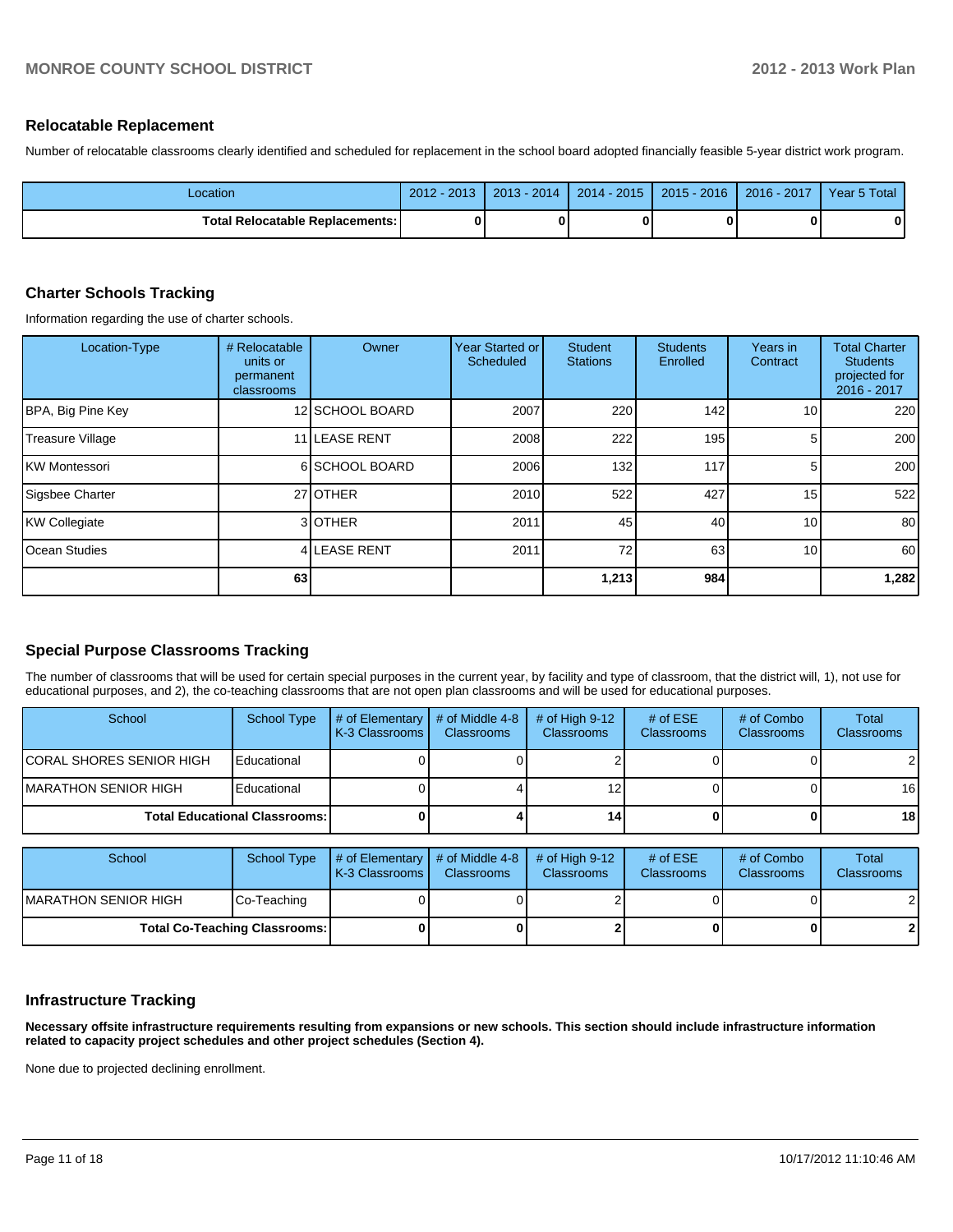#### **Relocatable Replacement**

Number of relocatable classrooms clearly identified and scheduled for replacement in the school board adopted financially feasible 5-year district work program.

| _ocation                                 | 2012 - 2013 | $2013 - 2014$ | $2014 - 2015$ | 2015 - 2016 | $2016 - 2017$ | Year 5 Total |
|------------------------------------------|-------------|---------------|---------------|-------------|---------------|--------------|
| <b>Total Relocatable Replacements: I</b> |             |               |               |             |               |              |

## **Charter Schools Tracking**

Information regarding the use of charter schools.

| Location-Type           | # Relocatable<br>units or<br>permanent<br>classrooms | Owner           | Year Started or<br>Scheduled | <b>Student</b><br><b>Stations</b> | <b>Students</b><br>Enrolled | Years in<br>Contract | <b>Total Charter</b><br><b>Students</b><br>projected for<br>2016 - 2017 |
|-------------------------|------------------------------------------------------|-----------------|------------------------------|-----------------------------------|-----------------------------|----------------------|-------------------------------------------------------------------------|
| BPA, Big Pine Key       |                                                      | 12 SCHOOL BOARD | 2007                         | 220                               | 142                         | 10 <sup>1</sup>      | 220                                                                     |
| <b>Treasure Village</b> |                                                      | 11 LEASE RENT   | 2008                         | 222                               | 195                         | 5                    | 200                                                                     |
| IKW Montessori          |                                                      | 6 SCHOOL BOARD  | 2006                         | 132                               | 117                         | 5                    | 200                                                                     |
| Sigsbee Charter         |                                                      | 27 OTHER        | 2010                         | 522                               | 427                         | 15                   | 522                                                                     |
| KW Collegiate           |                                                      | 3 OTHER         | 2011                         | 45                                | 40                          | 10                   | 80                                                                      |
| lOcean Studies          |                                                      | 4 LEASE RENT    | 2011                         | 72                                | 63                          | 10                   | 60                                                                      |
|                         | 63                                                   |                 |                              | 1,213                             | 984                         |                      | 1,282                                                                   |

# **Special Purpose Classrooms Tracking**

The number of classrooms that will be used for certain special purposes in the current year, by facility and type of classroom, that the district will, 1), not use for educational purposes, and 2), the co-teaching classrooms that are not open plan classrooms and will be used for educational purposes.

| School                               | School Type | $\#$ of Elementary<br>LK-3 Classrooms I | # of Middle 4-8<br><b>Classrooms</b> | $\#$ of High 9-12<br><b>Classrooms</b> | # of $ESE$<br><b>Classrooms</b> | # of Combo<br><b>Classrooms</b> | Total<br><b>Classrooms</b> |
|--------------------------------------|-------------|-----------------------------------------|--------------------------------------|----------------------------------------|---------------------------------|---------------------------------|----------------------------|
| <b>CORAL SHORES SENIOR HIGH</b>      | Educational |                                         |                                      |                                        |                                 |                                 | $\overline{2}$             |
| IMARATHON SENIOR HIGH                | Educational |                                         |                                      |                                        |                                 |                                 | 16                         |
| <b>Total Educational Classrooms:</b> |             |                                         |                                      | 14                                     |                                 |                                 | 18                         |

| School                               | School Type | $\parallel$ # of Elementary $\parallel$ # of Middle 4-8<br><b>IK-3 Classrooms L</b> | <b>Classrooms</b> | $#$ of High 9-12<br><b>Classrooms</b> | # of $ESE$<br><b>Classrooms</b> | # of Combo<br><b>Classrooms</b> | Total<br><b>Classrooms</b> |
|--------------------------------------|-------------|-------------------------------------------------------------------------------------|-------------------|---------------------------------------|---------------------------------|---------------------------------|----------------------------|
| <b>IMARATHON SENIOR HIGH</b>         | Co-Teaching |                                                                                     |                   |                                       |                                 |                                 | $\overline{2}$             |
| <b>Total Co-Teaching Classrooms:</b> |             |                                                                                     |                   |                                       | 0                               | $\mathbf{2}$                    |                            |

### **Infrastructure Tracking**

**Necessary offsite infrastructure requirements resulting from expansions or new schools. This section should include infrastructure information related to capacity project schedules and other project schedules (Section 4).**

None due to projected declining enrollment.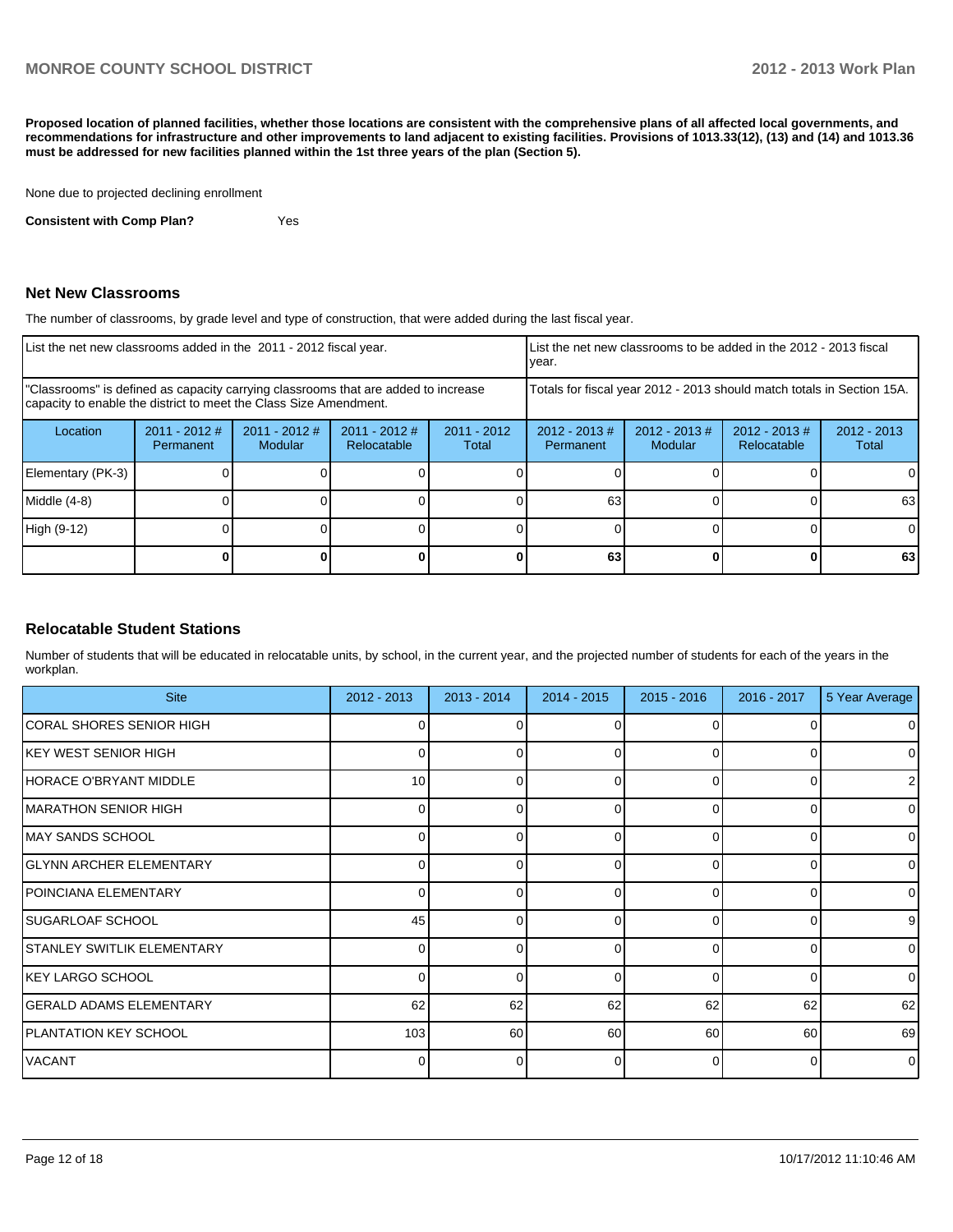**Proposed location of planned facilities, whether those locations are consistent with the comprehensive plans of all affected local governments, and recommendations for infrastructure and other improvements to land adjacent to existing facilities. Provisions of 1013.33(12), (13) and (14) and 1013.36 must be addressed for new facilities planned within the 1st three years of the plan (Section 5).**

None due to projected declining enrollment

**Consistent with Comp Plan?** Yes

#### **Net New Classrooms**

The number of classrooms, by grade level and type of construction, that were added during the last fiscal year.

| List the net new classrooms added in the 2011 - 2012 fiscal year.                                                                                       |                              |                            |                                |                        | List the net new classrooms to be added in the 2012 - 2013 fiscal<br>lvear. |                             |                                |                        |
|---------------------------------------------------------------------------------------------------------------------------------------------------------|------------------------------|----------------------------|--------------------------------|------------------------|-----------------------------------------------------------------------------|-----------------------------|--------------------------------|------------------------|
| "Classrooms" is defined as capacity carrying classrooms that are added to increase<br>capacity to enable the district to meet the Class Size Amendment. |                              |                            |                                |                        | Totals for fiscal year 2012 - 2013 should match totals in Section 15A.      |                             |                                |                        |
| Location                                                                                                                                                | $2011 - 2012$ #<br>Permanent | $2011 - 2012$ #<br>Modular | $2011 - 2012$ #<br>Relocatable | $2011 - 2012$<br>Total | $2012 - 2013 \#$<br>Permanent                                               | $2012 - 2013 \#$<br>Modular | $2012 - 2013$ #<br>Relocatable | $2012 - 2013$<br>Total |
| Elementary (PK-3)                                                                                                                                       |                              |                            |                                |                        |                                                                             |                             |                                | 0                      |
| Middle (4-8)                                                                                                                                            |                              |                            |                                |                        | 63                                                                          |                             |                                | 63                     |
| High (9-12)                                                                                                                                             |                              |                            |                                |                        |                                                                             |                             |                                | $\Omega$               |
|                                                                                                                                                         |                              |                            |                                |                        | 63                                                                          |                             |                                | 63                     |

#### **Relocatable Student Stations**

Number of students that will be educated in relocatable units, by school, in the current year, and the projected number of students for each of the years in the workplan.

| <b>Site</b>                     | 2012 - 2013     | $2013 - 2014$ | 2014 - 2015 | $2015 - 2016$ | $2016 - 2017$  | 5 Year Average |
|---------------------------------|-----------------|---------------|-------------|---------------|----------------|----------------|
| CORAL SHORES SENIOR HIGH        | 0               | U             |             | $\Omega$      |                | $\overline{0}$ |
| KEY WEST SENIOR HIGH            |                 |               |             | $\Omega$      | ი              | $\overline{0}$ |
| HORACE O'BRYANT MIDDLE          | 10 <sup>1</sup> | 0             | 0           | $\Omega$      | 0              | 2 <sub>l</sub> |
| <b>IMARATHON SENIOR HIGH</b>    | 0               | 0             | U           | $\Omega$      | 0              | $\overline{0}$ |
| MAY SANDS SCHOOL                |                 |               |             | $\Omega$      | ŋ              | $\overline{0}$ |
| <b>IGLYNN ARCHER ELEMENTARY</b> | 0               | 0             | 0           | $\Omega$      | 0              | $\overline{0}$ |
| <b>POINCIANA ELEMENTARY</b>     | 0               | 0             | 0           | $\Omega$      | 0              | $\overline{0}$ |
| <b>SUGARLOAF SCHOOL</b>         | 45              | ∩             |             | $\Omega$      | O              | 9 <sub>l</sub> |
| ISTANLEY SWITLIK ELEMENTARY     | $\Omega$        | 0             | 0           | $\Omega$      | 0              | $\overline{0}$ |
| <b>KEY LARGO SCHOOL</b>         | 0               | U             | 0           | $\Omega$      | 0              | $\overline{0}$ |
| <b>GERALD ADAMS ELEMENTARY</b>  | 62              | 62            | 62          | 62            | 62             | 62             |
| <b>IPLANTATION KEY SCHOOL</b>   | 103             | 60            | 60          | 60            | 60             | 69             |
| <b>VACANT</b>                   | 0               | U             | 0           | $\Omega$      | $\overline{0}$ | $\overline{0}$ |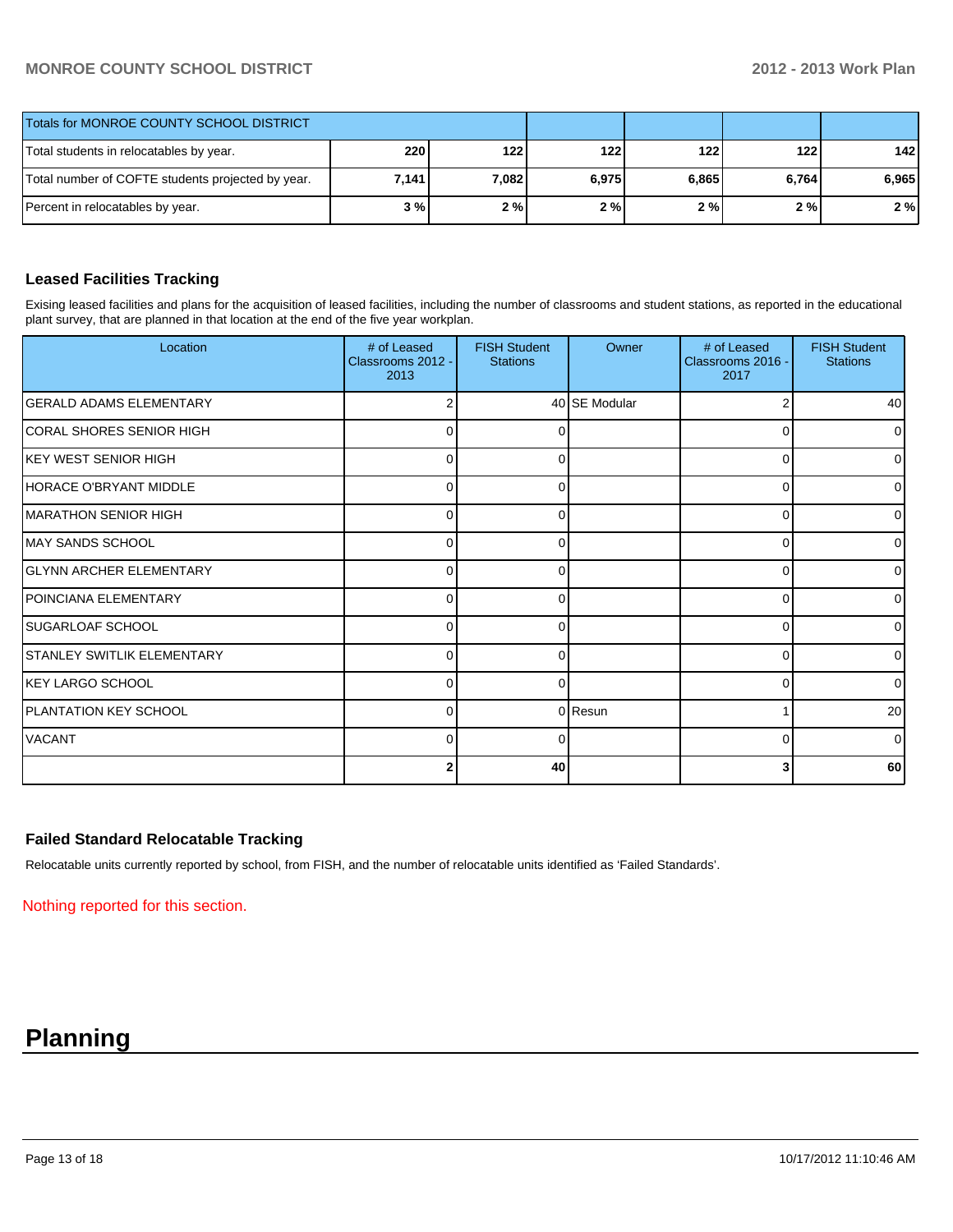# **MONROE COUNTY SCHOOL DISTRICT 2012 - 2013 Work Plan**

| Totals for MONROE COUNTY SCHOOL DISTRICT          |       |       |       |       |       |       |
|---------------------------------------------------|-------|-------|-------|-------|-------|-------|
| Total students in relocatables by year.           | 220   | 122 l | 122   | 122   | 122 l | 142   |
| Total number of COFTE students projected by year. | 7,141 | 7.082 | 6,975 | 6,865 | 6.764 | 6.965 |
| Percent in relocatables by year.                  | 3 % I | 2%    | 2%    | 2%    | 2 % I | 2%    |

## **Leased Facilities Tracking**

Exising leased facilities and plans for the acquisition of leased facilities, including the number of classrooms and student stations, as reported in the educational plant survey, that are planned in that location at the end of the five year workplan.

| Location                          | # of Leased<br>Classrooms 2012 -<br>2013 | <b>FISH Student</b><br><b>Stations</b> | Owner         | # of Leased<br>Classrooms 2016 -<br>2017 | <b>FISH Student</b><br><b>Stations</b> |
|-----------------------------------|------------------------------------------|----------------------------------------|---------------|------------------------------------------|----------------------------------------|
| <b>GERALD ADAMS ELEMENTARY</b>    |                                          |                                        | 40 SE Modular |                                          | 40                                     |
| ICORAL SHORES SENIOR HIGH         | 0                                        | 0                                      |               | 0                                        | $\overline{0}$                         |
| KEY WEST SENIOR HIGH              | $\Omega$                                 | <sup>0</sup>                           |               | 0                                        | $\overline{0}$                         |
| HORACE O'BRYANT MIDDLE            | $\Omega$                                 |                                        |               | $\Omega$                                 | ٥I                                     |
| MARATHON SENIOR HIGH              | 0                                        | 0                                      |               | 0                                        | $\overline{0}$                         |
| MAY SANDS SCHOOL                  | $\Omega$                                 | <sup>0</sup>                           |               | $\Omega$                                 | $\overline{0}$                         |
| <b>GLYNN ARCHER ELEMENTARY</b>    | U                                        |                                        |               | 0                                        | 0                                      |
| POINCIANA ELEMENTARY              | $\Omega$                                 | 0                                      |               | 0                                        | $\overline{0}$                         |
| SUGARLOAF SCHOOL                  | $\Omega$                                 | <sup>0</sup>                           |               | $\Omega$                                 | $\overline{0}$                         |
| <b>STANLEY SWITLIK ELEMENTARY</b> | U                                        |                                        |               | 0                                        | 0                                      |
| <b>KEY LARGO SCHOOL</b>           | $\Omega$                                 | 0                                      |               | 0                                        | $\overline{0}$                         |
| <b>PLANTATION KEY SCHOOL</b>      | $\Omega$                                 |                                        | 0 Resun       |                                          | 20                                     |
| <b>VACANT</b>                     | $\Omega$                                 |                                        |               | 0                                        | $\overline{0}$                         |
|                                   |                                          | 40                                     |               | 3                                        | 60                                     |

# **Failed Standard Relocatable Tracking**

Relocatable units currently reported by school, from FISH, and the number of relocatable units identified as 'Failed Standards'.

Nothing reported for this section.

# **Planning**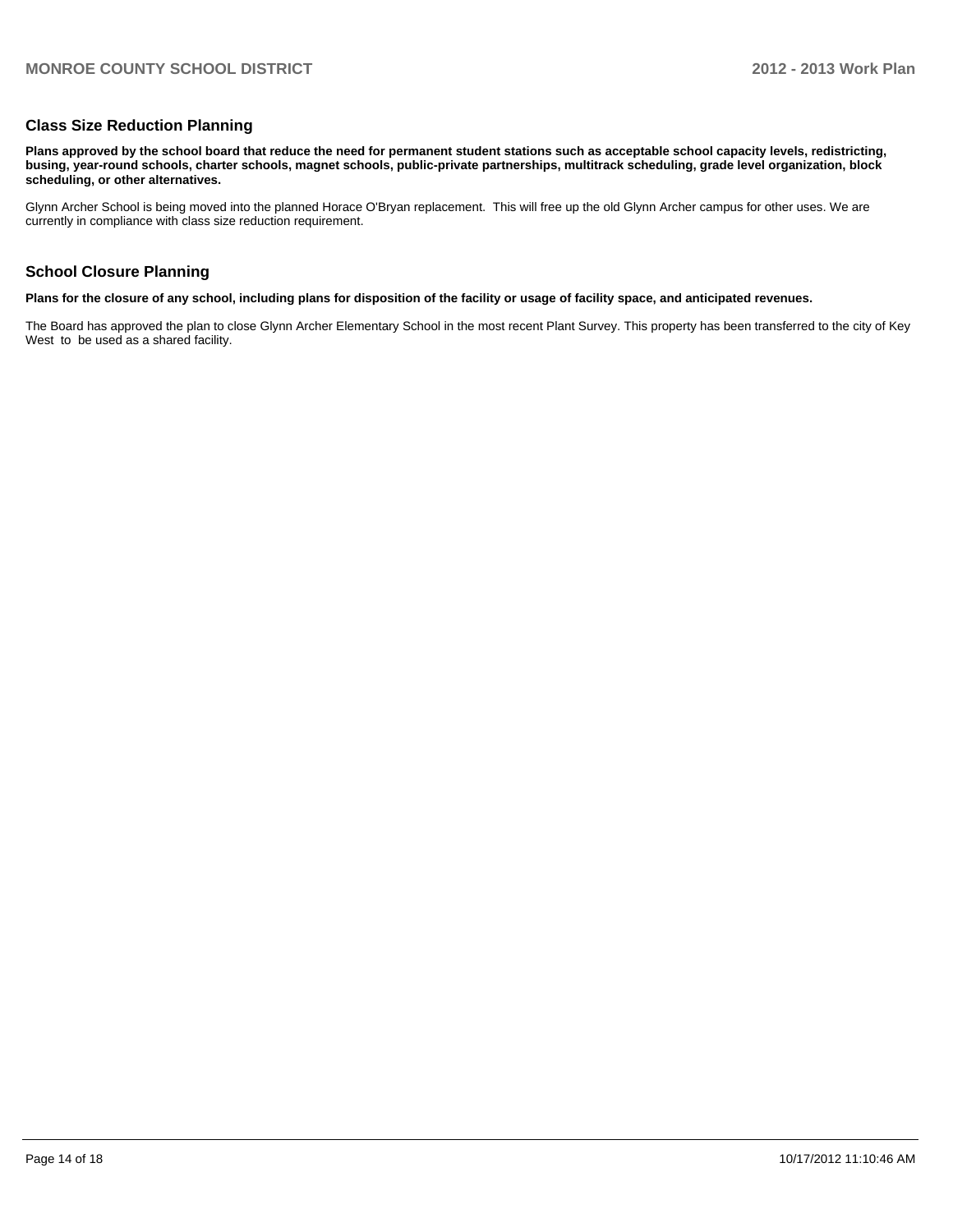### **Class Size Reduction Planning**

**Plans approved by the school board that reduce the need for permanent student stations such as acceptable school capacity levels, redistricting, busing, year-round schools, charter schools, magnet schools, public-private partnerships, multitrack scheduling, grade level organization, block scheduling, or other alternatives.**

Glynn Archer School is being moved into the planned Horace O'Bryan replacement. This will free up the old Glynn Archer campus for other uses. We are currently in compliance with class size reduction requirement.

#### **School Closure Planning**

**Plans for the closure of any school, including plans for disposition of the facility or usage of facility space, and anticipated revenues.**

The Board has approved the plan to close Glynn Archer Elementary School in the most recent Plant Survey. This property has been transferred to the city of Key West to be used as a shared facility.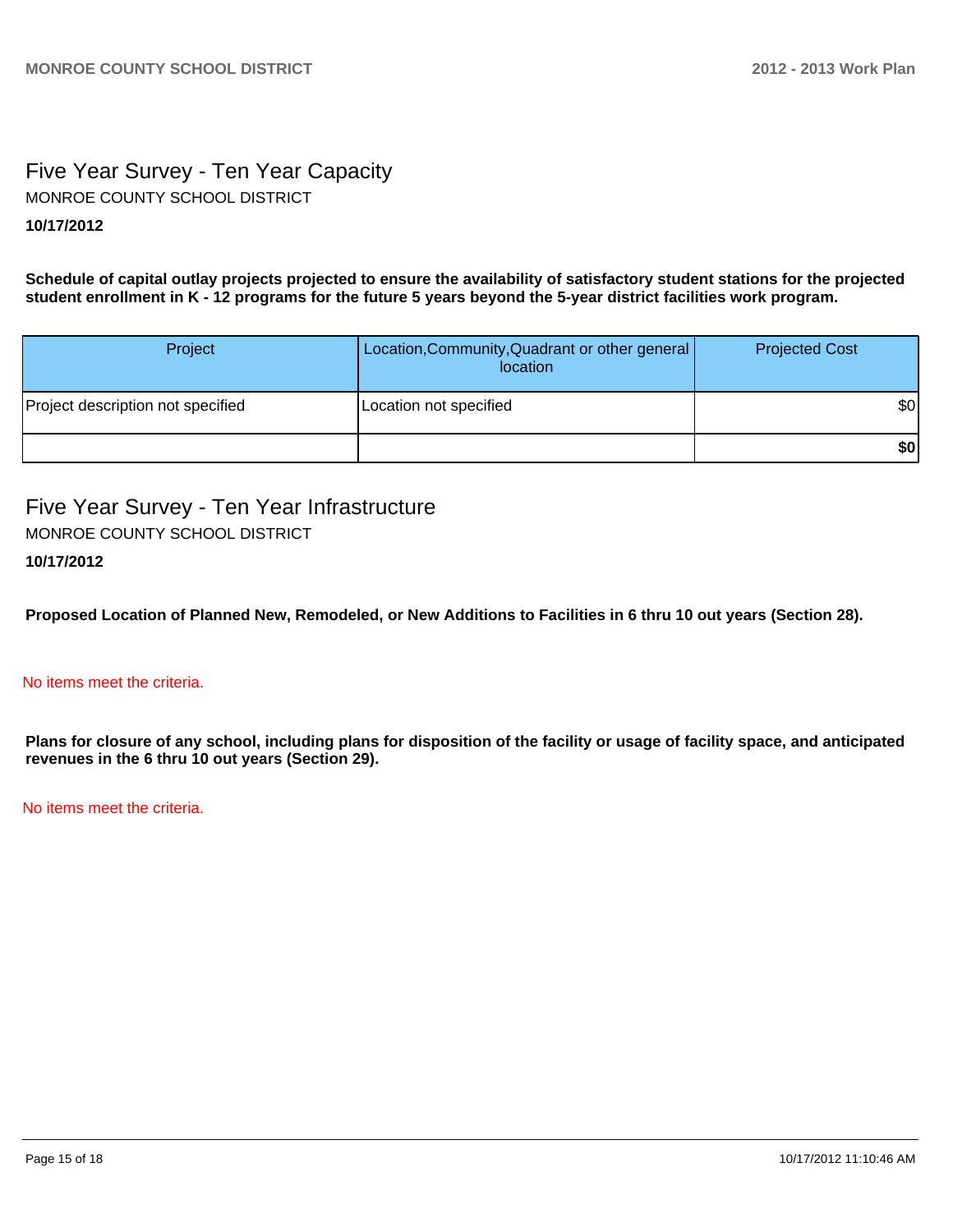# Five Year Survey - Ten Year Capacity **10/17/2012** MONROE COUNTY SCHOOL DISTRICT

**Schedule of capital outlay projects projected to ensure the availability of satisfactory student stations for the projected student enrollment in K - 12 programs for the future 5 years beyond the 5-year district facilities work program.**

| Project                           | Location, Community, Quadrant or other general<br>location | <b>Projected Cost</b> |
|-----------------------------------|------------------------------------------------------------|-----------------------|
| Project description not specified | Location not specified                                     | \$0                   |
|                                   |                                                            | \$0                   |

Five Year Survey - Ten Year Infrastructure MONROE COUNTY SCHOOL DISTRICT

# **10/17/2012**

**Proposed Location of Planned New, Remodeled, or New Additions to Facilities in 6 thru 10 out years (Section 28).**

### No items meet the criteria.

**Plans for closure of any school, including plans for disposition of the facility or usage of facility space, and anticipated revenues in the 6 thru 10 out years (Section 29).**

No items meet the criteria.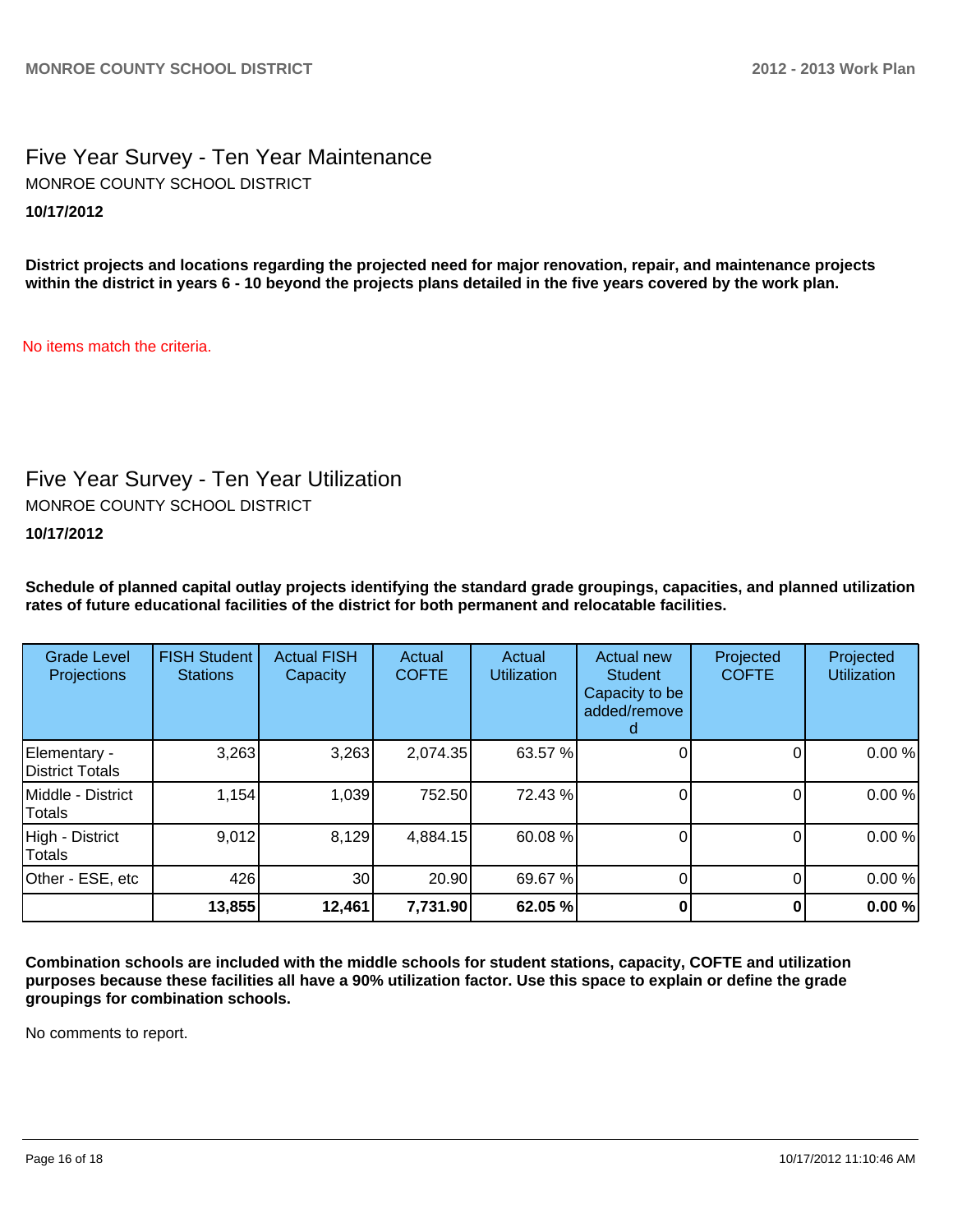Five Year Survey - Ten Year Maintenance **10/17/2012** MONROE COUNTY SCHOOL DISTRICT

**District projects and locations regarding the projected need for major renovation, repair, and maintenance projects within the district in years 6 - 10 beyond the projects plans detailed in the five years covered by the work plan.**

No items match the criteria.

# Five Year Survey - Ten Year Utilization

MONROE COUNTY SCHOOL DISTRICT

**10/17/2012**

**Schedule of planned capital outlay projects identifying the standard grade groupings, capacities, and planned utilization rates of future educational facilities of the district for both permanent and relocatable facilities.**

| <b>Grade Level</b><br>Projections | <b>FISH Student</b><br><b>Stations</b> | <b>Actual FISH</b><br>Capacity | Actual<br><b>COFTE</b> | Actual<br><b>Utilization</b> | Actual new<br><b>Student</b><br>Capacity to be<br>added/remove | Projected<br><b>COFTE</b> | Projected<br><b>Utilization</b> |
|-----------------------------------|----------------------------------------|--------------------------------|------------------------|------------------------------|----------------------------------------------------------------|---------------------------|---------------------------------|
| Elementary -<br>District Totals   | 3,263                                  | 3,263                          | 2,074.35               | 63.57 %                      |                                                                |                           | 0.00%                           |
| Middle - District<br>Totals       | 1,154                                  | 1,039                          | 752.50                 | 72.43 %                      |                                                                |                           | 0.00%                           |
| High - District<br>Totals         | 9,012                                  | 8,129                          | 4,884.15               | 60.08 %                      |                                                                |                           | 0.00%                           |
| Other - ESE, etc                  | 426                                    | 30                             | 20.90                  | 69.67 %                      |                                                                |                           | 0.00%                           |
|                                   | 13,855                                 | 12,461                         | 7,731.90               | 62.05 %                      |                                                                |                           | 0.00%                           |

**Combination schools are included with the middle schools for student stations, capacity, COFTE and utilization purposes because these facilities all have a 90% utilization factor. Use this space to explain or define the grade groupings for combination schools.**

No comments to report.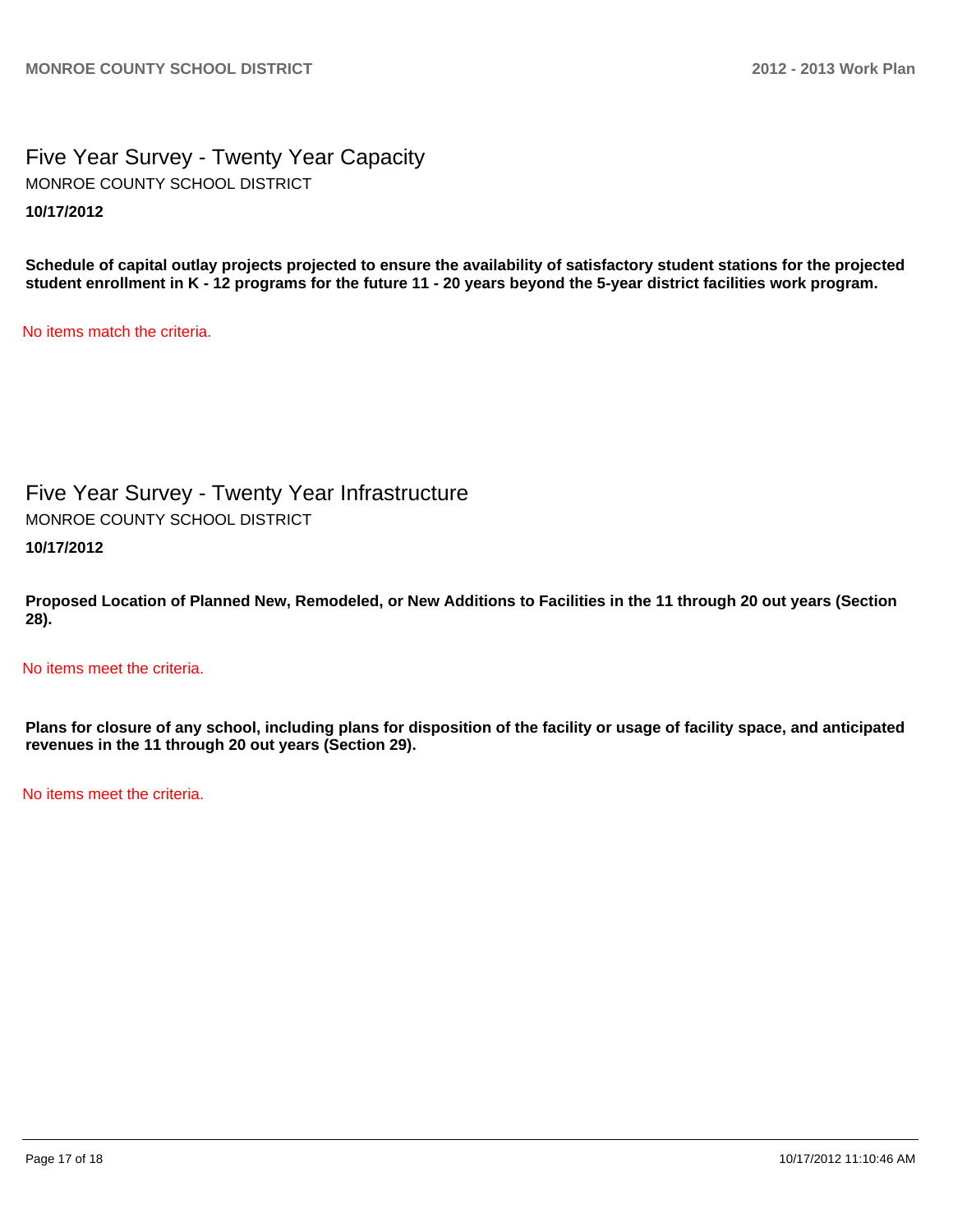Five Year Survey - Twenty Year Capacity **10/17/2012** MONROE COUNTY SCHOOL DISTRICT

**Schedule of capital outlay projects projected to ensure the availability of satisfactory student stations for the projected student enrollment in K - 12 programs for the future 11 - 20 years beyond the 5-year district facilities work program.**

No items match the criteria.

Five Year Survey - Twenty Year Infrastructure MONROE COUNTY SCHOOL DISTRICT

**10/17/2012**

**Proposed Location of Planned New, Remodeled, or New Additions to Facilities in the 11 through 20 out years (Section 28).**

No items meet the criteria.

**Plans for closure of any school, including plans for disposition of the facility or usage of facility space, and anticipated revenues in the 11 through 20 out years (Section 29).**

No items meet the criteria.